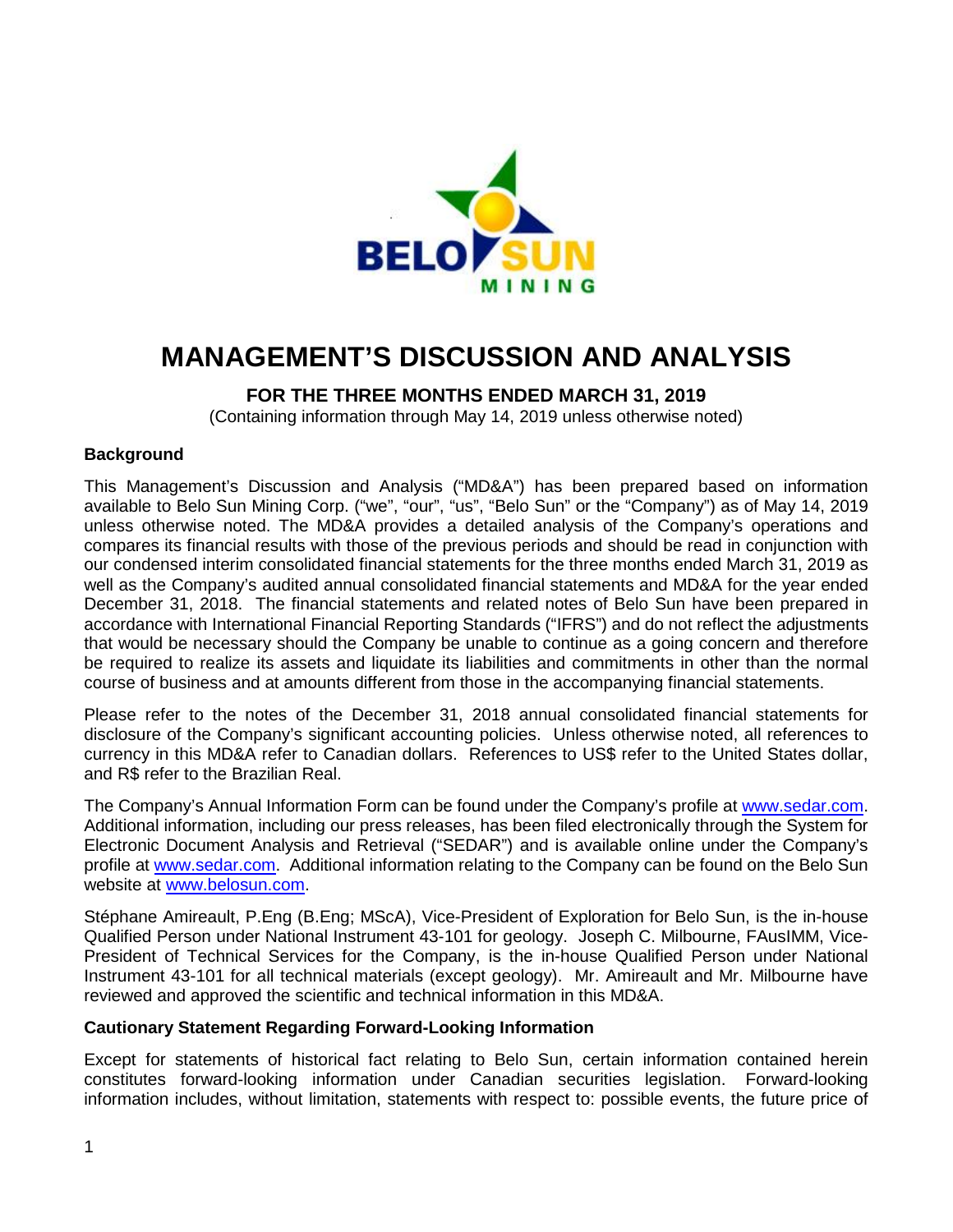

# **MANAGEMENT'S DISCUSSION AND ANALYSIS**

# **FOR THE THREE MONTHS ENDED MARCH 31, 2019**

(Containing information through May 14, 2019 unless otherwise noted)

#### **Background**

This Management's Discussion and Analysis ("MD&A") has been prepared based on information available to Belo Sun Mining Corp. ("we", "our", "us", "Belo Sun" or the "Company") as of May 14, 2019 unless otherwise noted. The MD&A provides a detailed analysis of the Company's operations and compares its financial results with those of the previous periods and should be read in conjunction with our condensed interim consolidated financial statements for the three months ended March 31, 2019 as well as the Company's audited annual consolidated financial statements and MD&A for the year ended December 31, 2018. The financial statements and related notes of Belo Sun have been prepared in accordance with International Financial Reporting Standards ("IFRS") and do not reflect the adjustments that would be necessary should the Company be unable to continue as a going concern and therefore be required to realize its assets and liquidate its liabilities and commitments in other than the normal course of business and at amounts different from those in the accompanying financial statements.

Please refer to the notes of the December 31, 2018 annual consolidated financial statements for disclosure of the Company's significant accounting policies. Unless otherwise noted, all references to currency in this MD&A refer to Canadian dollars. References to US\$ refer to the United States dollar, and R\$ refer to the Brazilian Real.

The Company's Annual Information Form can be found under the Company's profile at [www.sedar.com.](http://www.sedar.com/) Additional information, including our press releases, has been filed electronically through the System for Electronic Document Analysis and Retrieval ("SEDAR") and is available online under the Company's profile at [www.sedar.com.](http://www.sedar.com/) Additional information relating to the Company can be found on the Belo Sun website at [www.belosun.com.](http://www.belosun.com/)

Stéphane Amireault, P.Eng (B.Eng; MScA), Vice-President of Exploration for Belo Sun, is the in-house Qualified Person under National Instrument 43-101 for geology. Joseph C. Milbourne, FAusIMM, Vice-President of Technical Services for the Company, is the in-house Qualified Person under National Instrument 43-101 for all technical materials (except geology). Mr. Amireault and Mr. Milbourne have reviewed and approved the scientific and technical information in this MD&A.

#### **Cautionary Statement Regarding Forward-Looking Information**

Except for statements of historical fact relating to Belo Sun, certain information contained herein constitutes forward-looking information under Canadian securities legislation. Forward-looking information includes, without limitation, statements with respect to: possible events, the future price of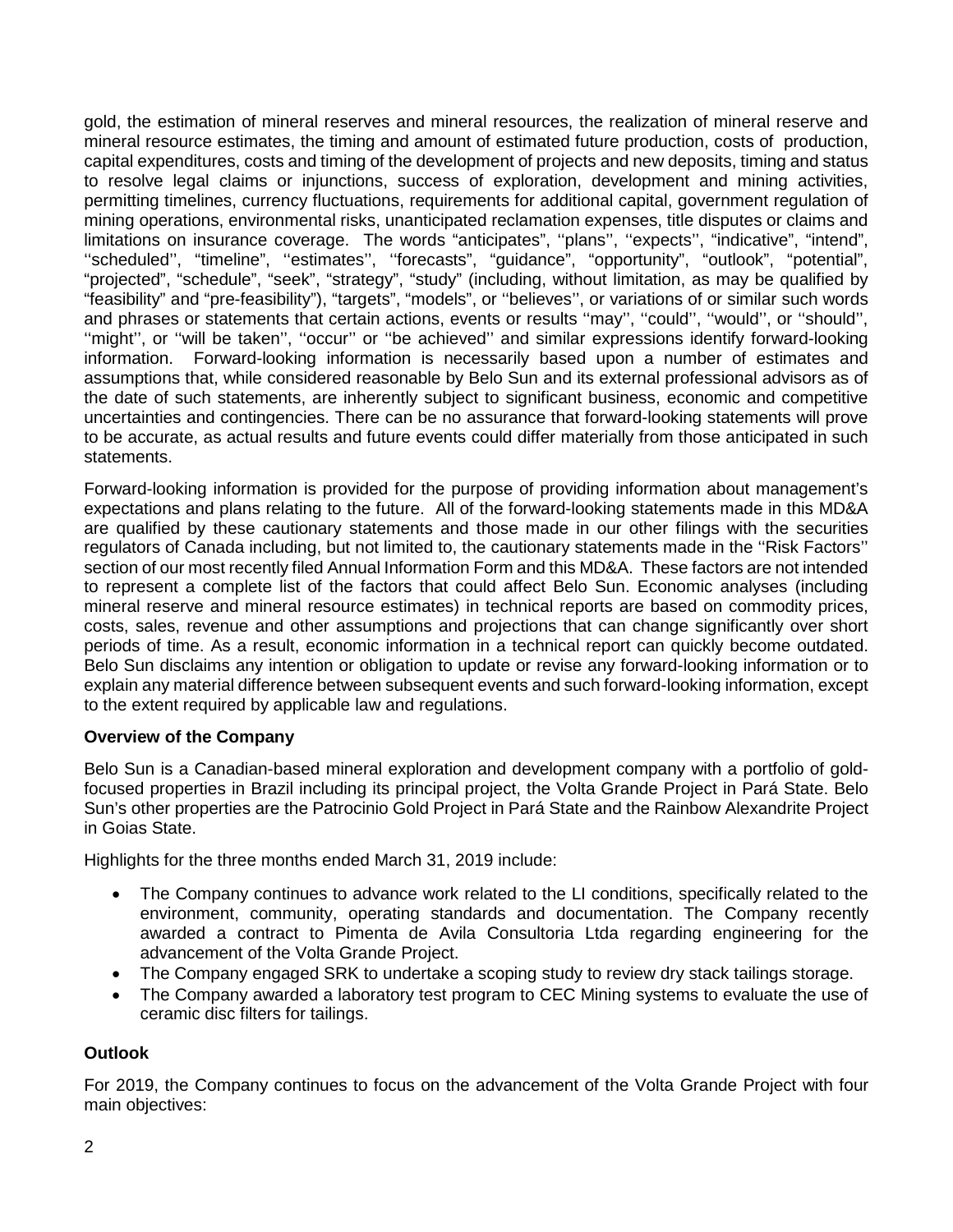gold, the estimation of mineral reserves and mineral resources, the realization of mineral reserve and mineral resource estimates, the timing and amount of estimated future production, costs of production, capital expenditures, costs and timing of the development of projects and new deposits, timing and status to resolve legal claims or injunctions, success of exploration, development and mining activities, permitting timelines, currency fluctuations, requirements for additional capital, government regulation of mining operations, environmental risks, unanticipated reclamation expenses, title disputes or claims and limitations on insurance coverage. The words "anticipates", ''plans'', ''expects'', "indicative", "intend", "scheduled", "timeline", "estimates", "forecasts", "guidance", "opportunity", "outlook", "potential", "projected", "schedule", "seek", "strategy", "study" (including, without limitation, as may be qualified by "feasibility" and "pre-feasibility"), "targets", "models", or ''believes'', or variations of or similar such words and phrases or statements that certain actions, events or results ''may'', ''could'', ''would'', or ''should'', "might", or "will be taken", "occur" or "be achieved" and similar expressions identify forward-looking information. Forward-looking information is necessarily based upon a number of estimates and assumptions that, while considered reasonable by Belo Sun and its external professional advisors as of the date of such statements, are inherently subject to significant business, economic and competitive uncertainties and contingencies. There can be no assurance that forward-looking statements will prove to be accurate, as actual results and future events could differ materially from those anticipated in such statements.

Forward-looking information is provided for the purpose of providing information about management's expectations and plans relating to the future. All of the forward-looking statements made in this MD&A are qualified by these cautionary statements and those made in our other filings with the securities regulators of Canada including, but not limited to, the cautionary statements made in the ''Risk Factors'' section of our most recently filed Annual Information Form and this MD&A. These factors are not intended to represent a complete list of the factors that could affect Belo Sun. Economic analyses (including mineral reserve and mineral resource estimates) in technical reports are based on commodity prices, costs, sales, revenue and other assumptions and projections that can change significantly over short periods of time. As a result, economic information in a technical report can quickly become outdated. Belo Sun disclaims any intention or obligation to update or revise any forward-looking information or to explain any material difference between subsequent events and such forward-looking information, except to the extent required by applicable law and regulations.

#### **Overview of the Company**

Belo Sun is a Canadian-based mineral exploration and development company with a portfolio of goldfocused properties in Brazil including its principal project, the Volta Grande Project in Pará State. Belo Sun's other properties are the Patrocinio Gold Project in Pará State and the Rainbow Alexandrite Project in Goias State.

Highlights for the three months ended March 31, 2019 include:

- The Company continues to advance work related to the LI conditions, specifically related to the environment, community, operating standards and documentation. The Company recently awarded a contract to Pimenta de Avila Consultoria Ltda regarding engineering for the advancement of the Volta Grande Project.
- The Company engaged SRK to undertake a scoping study to review dry stack tailings storage.
- The Company awarded a laboratory test program to CEC Mining systems to evaluate the use of ceramic disc filters for tailings.

#### **Outlook**

For 2019, the Company continues to focus on the advancement of the Volta Grande Project with four main objectives: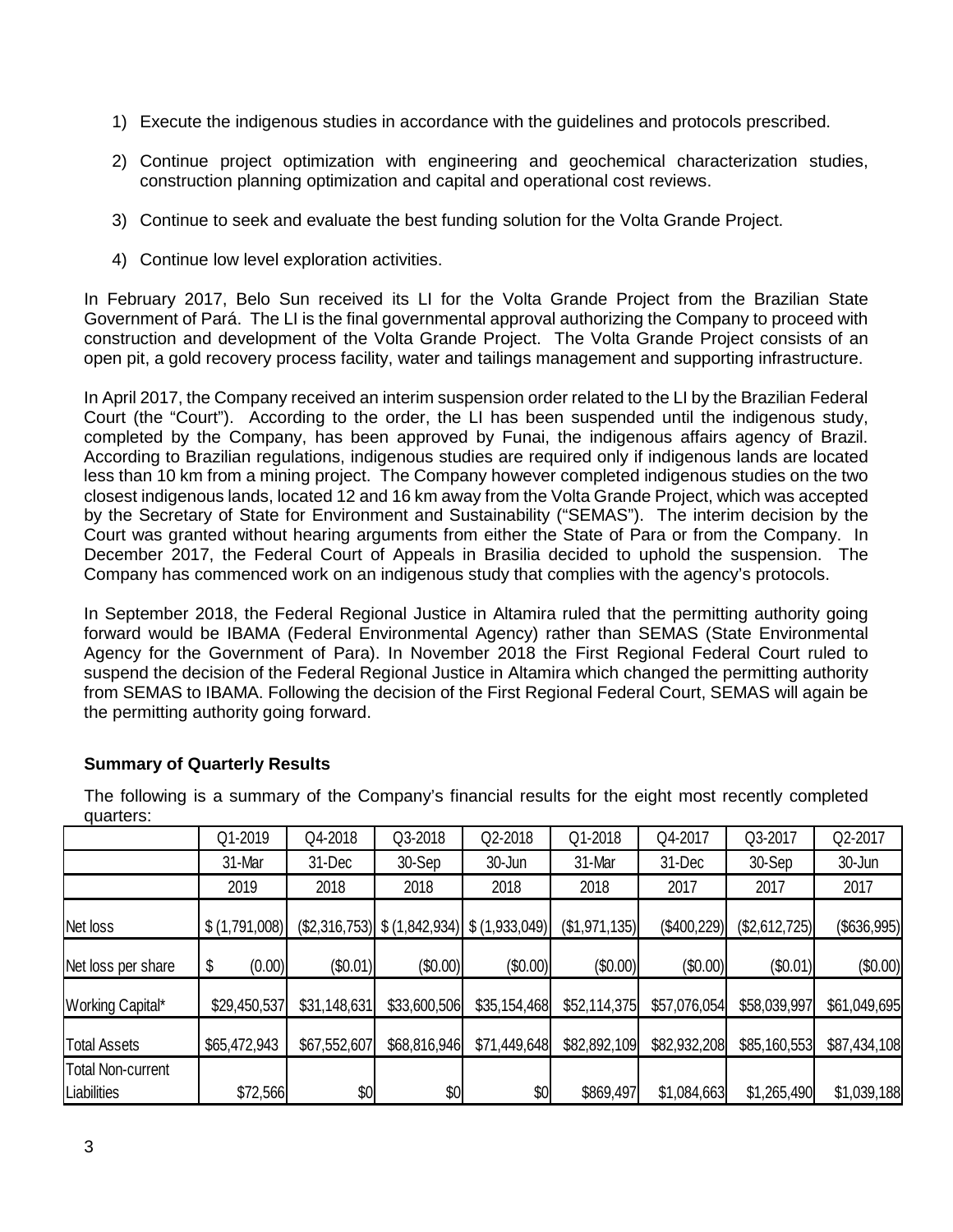- 1) Execute the indigenous studies in accordance with the guidelines and protocols prescribed.
- 2) Continue project optimization with engineering and geochemical characterization studies, construction planning optimization and capital and operational cost reviews.
- 3) Continue to seek and evaluate the best funding solution for the Volta Grande Project.
- 4) Continue low level exploration activities.

In February 2017, Belo Sun received its LI for the Volta Grande Project from the Brazilian State Government of Pará. The LI is the final governmental approval authorizing the Company to proceed with construction and development of the Volta Grande Project. The Volta Grande Project consists of an open pit, a gold recovery process facility, water and tailings management and supporting infrastructure.

In April 2017, the Company received an interim suspension order related to the LI by the Brazilian Federal Court (the "Court"). According to the order, the LI has been suspended until the indigenous study, completed by the Company, has been approved by Funai, the indigenous affairs agency of Brazil. According to Brazilian regulations, indigenous studies are required only if indigenous lands are located less than 10 km from a mining project. The Company however completed indigenous studies on the two closest indigenous lands, located 12 and 16 km away from the Volta Grande Project, which was accepted by the Secretary of State for Environment and Sustainability ("SEMAS"). The interim decision by the Court was granted without hearing arguments from either the State of Para or from the Company. In December 2017, the Federal Court of Appeals in Brasilia decided to uphold the suspension. The Company has commenced work on an indigenous study that complies with the agency's protocols.

In September 2018, the Federal Regional Justice in Altamira ruled that the permitting authority going forward would be IBAMA (Federal Environmental Agency) rather than SEMAS (State Environmental Agency for the Government of Para). In November 2018 the First Regional Federal Court ruled to suspend the decision of the Federal Regional Justice in Altamira which changed the permitting authority from SEMAS to IBAMA. Following the decision of the First Regional Federal Court, SEMAS will again be the permitting authority going forward.

| yuano.                                  |   |               |              |              |                                                   |               |              |               |              |
|-----------------------------------------|---|---------------|--------------|--------------|---------------------------------------------------|---------------|--------------|---------------|--------------|
|                                         |   | Q1-2019       | Q4-2018      | Q3-2018      | Q2-2018                                           | Q1-2018       | Q4-2017      | Q3-2017       | Q2-2017      |
|                                         |   | 31-Mar        | 31-Dec       | 30-Sep       | 30-Jun                                            | 31-Mar        | 31-Dec       | 30-Sep        | 30-Jun       |
|                                         |   | 2019          | 2018         | 2018         | 2018                                              | 2018          | 2017         | 2017          | 2017         |
| Net loss                                |   | \$(1,791,008) |              |              | $(\$2,316,753)$ $\$ (1,842,934)$ $\$ (1,933,049)$ | (\$1,971,135) | (\$400,229)  | (\$2,612,725) | (\$636,995)  |
| Net loss per share                      | S | (0.00)        | (\$0.01)     | (\$0.00)     | (\$0.00)                                          | (\$0.00)      | (\$0.00)     | (\$0.01)      | (\$0.00)     |
| Working Capital*                        |   | \$29,450,537  | \$31,148,631 | \$33,600,506 | \$35,154,468                                      | \$52,114,375  | \$57,076,054 | \$58,039,997  | \$61,049,695 |
| <b>Total Assets</b>                     |   | \$65,472,943  | \$67,552,607 | \$68,816,946 | \$71,449,648                                      | \$82,892,109  | \$82,932,208 | \$85,160,553  | \$87,434,108 |
| <b>Total Non-current</b><br>Liabilities |   | \$72,566      | \$0          | \$0          | \$0                                               | \$869,497     | \$1,084,663  | \$1,265,490   | \$1,039,188  |

#### **Summary of Quarterly Results**

The following is a summary of the Company's financial results for the eight most recently completed quarters: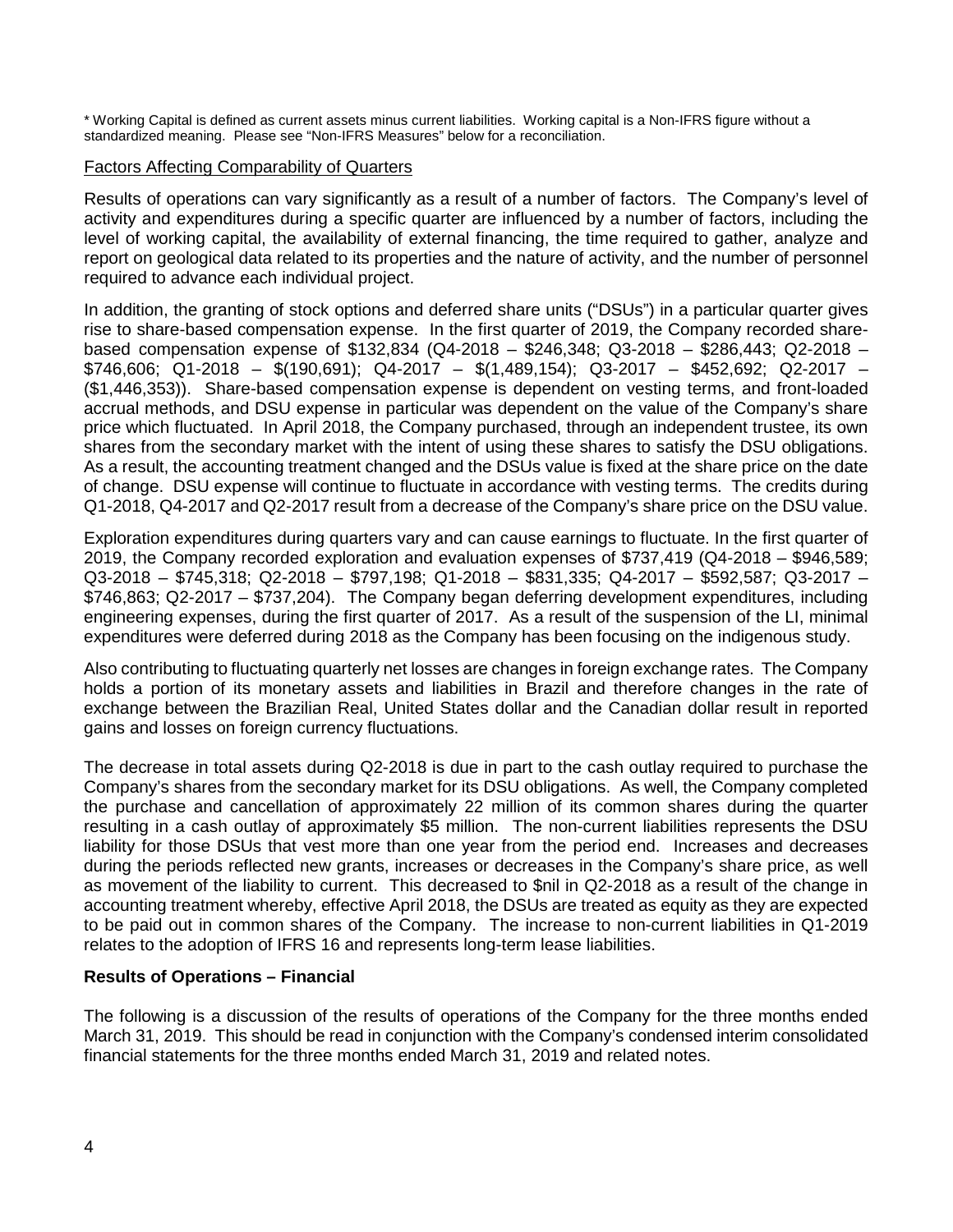\* Working Capital is defined as current assets minus current liabilities. Working capital is a Non-IFRS figure without a standardized meaning. Please see "Non-IFRS Measures" below for a reconciliation.

#### Factors Affecting Comparability of Quarters

Results of operations can vary significantly as a result of a number of factors. The Company's level of activity and expenditures during a specific quarter are influenced by a number of factors, including the level of working capital, the availability of external financing, the time required to gather, analyze and report on geological data related to its properties and the nature of activity, and the number of personnel required to advance each individual project.

In addition, the granting of stock options and deferred share units ("DSUs") in a particular quarter gives rise to share-based compensation expense. In the first quarter of 2019, the Company recorded sharebased compensation expense of \$132,834 (Q4-2018 – \$246,348; Q3-2018 – \$286,443; Q2-2018 – \$746,606; Q1-2018 – \$(190,691); Q4-2017 – \$(1,489,154); Q3-2017 – \$452,692; Q2-2017 – (\$1,446,353)). Share-based compensation expense is dependent on vesting terms, and front-loaded accrual methods, and DSU expense in particular was dependent on the value of the Company's share price which fluctuated. In April 2018, the Company purchased, through an independent trustee, its own shares from the secondary market with the intent of using these shares to satisfy the DSU obligations. As a result, the accounting treatment changed and the DSUs value is fixed at the share price on the date of change. DSU expense will continue to fluctuate in accordance with vesting terms. The credits during Q1-2018, Q4-2017 and Q2-2017 result from a decrease of the Company's share price on the DSU value.

Exploration expenditures during quarters vary and can cause earnings to fluctuate. In the first quarter of 2019, the Company recorded exploration and evaluation expenses of \$737,419 (Q4-2018 – \$946,589; Q3-2018 – \$745,318; Q2-2018 – \$797,198; Q1-2018 – \$831,335; Q4-2017 – \$592,587; Q3-2017 – \$746,863; Q2-2017 – \$737,204). The Company began deferring development expenditures, including engineering expenses, during the first quarter of 2017. As a result of the suspension of the LI, minimal expenditures were deferred during 2018 as the Company has been focusing on the indigenous study.

Also contributing to fluctuating quarterly net losses are changes in foreign exchange rates. The Company holds a portion of its monetary assets and liabilities in Brazil and therefore changes in the rate of exchange between the Brazilian Real, United States dollar and the Canadian dollar result in reported gains and losses on foreign currency fluctuations.

The decrease in total assets during Q2-2018 is due in part to the cash outlay required to purchase the Company's shares from the secondary market for its DSU obligations. As well, the Company completed the purchase and cancellation of approximately 22 million of its common shares during the quarter resulting in a cash outlay of approximately \$5 million. The non-current liabilities represents the DSU liability for those DSUs that vest more than one year from the period end. Increases and decreases during the periods reflected new grants, increases or decreases in the Company's share price, as well as movement of the liability to current. This decreased to \$nil in Q2-2018 as a result of the change in accounting treatment whereby, effective April 2018, the DSUs are treated as equity as they are expected to be paid out in common shares of the Company. The increase to non-current liabilities in Q1-2019 relates to the adoption of IFRS 16 and represents long-term lease liabilities.

#### **Results of Operations – Financial**

The following is a discussion of the results of operations of the Company for the three months ended March 31, 2019. This should be read in conjunction with the Company's condensed interim consolidated financial statements for the three months ended March 31, 2019 and related notes.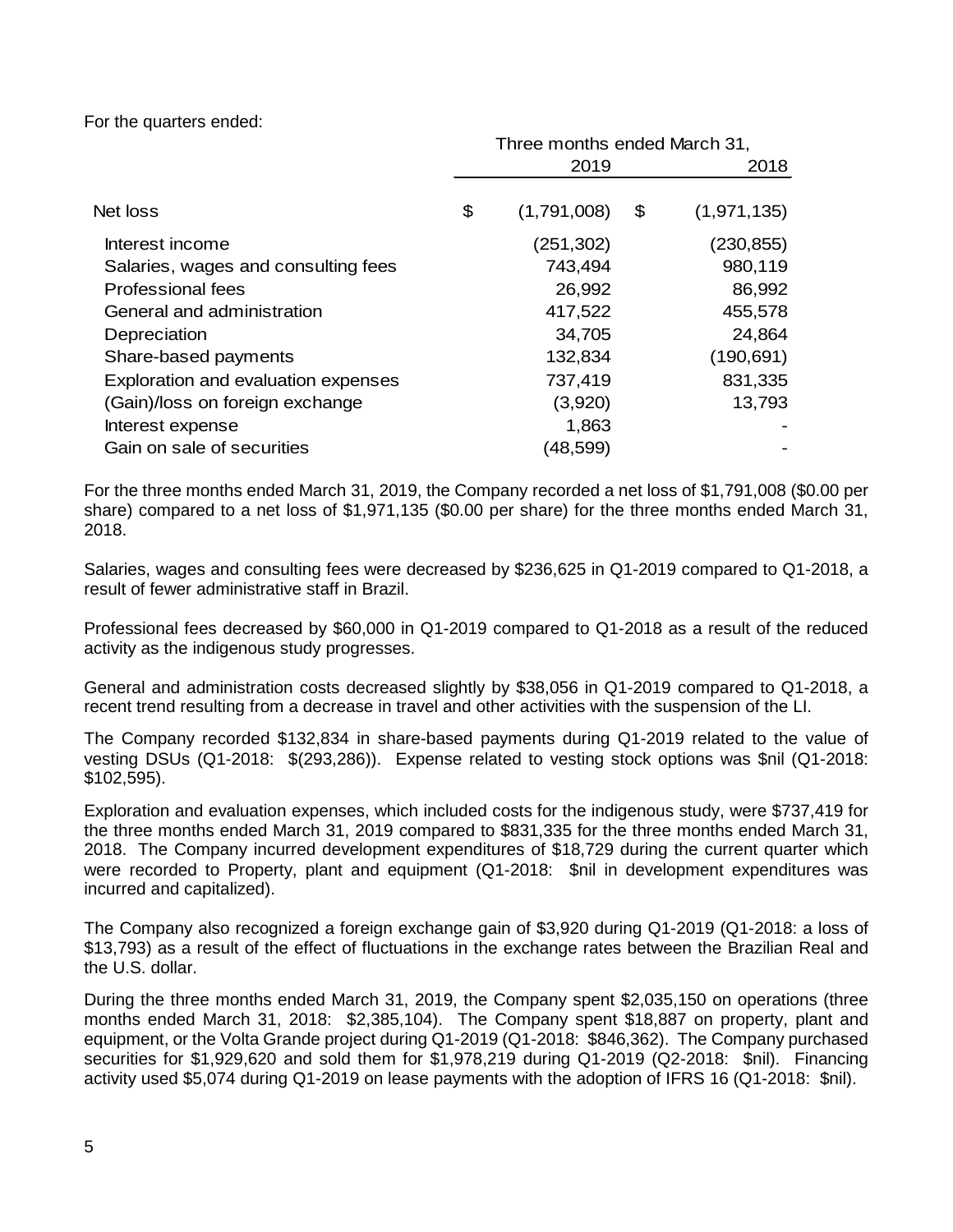For the quarters ended:

|                                     | Three months ended March 31, |             |    |               |  |
|-------------------------------------|------------------------------|-------------|----|---------------|--|
|                                     |                              | 2019        |    | 2018          |  |
| Net loss                            | \$                           | (1,791,008) | \$ | (1, 971, 135) |  |
| Interest income                     |                              | (251,302)   |    | (230, 855)    |  |
| Salaries, wages and consulting fees |                              | 743,494     |    | 980,119       |  |
| <b>Professional fees</b>            |                              | 26,992      |    | 86,992        |  |
| General and administration          |                              | 417,522     |    | 455,578       |  |
| Depreciation                        |                              | 34,705      |    | 24,864        |  |
| Share-based payments                |                              | 132,834     |    | (190, 691)    |  |
| Exploration and evaluation expenses |                              | 737,419     |    | 831,335       |  |
| (Gain)/loss on foreign exchange     |                              | (3,920)     |    | 13,793        |  |
| Interest expense                    |                              | 1,863       |    |               |  |
| Gain on sale of securities          |                              | (48,599)    |    |               |  |

For the three months ended March 31, 2019, the Company recorded a net loss of \$1,791,008 (\$0.00 per share) compared to a net loss of \$1,971,135 (\$0.00 per share) for the three months ended March 31, 2018.

Salaries, wages and consulting fees were decreased by \$236,625 in Q1-2019 compared to Q1-2018, a result of fewer administrative staff in Brazil.

Professional fees decreased by \$60,000 in Q1-2019 compared to Q1-2018 as a result of the reduced activity as the indigenous study progresses.

General and administration costs decreased slightly by \$38,056 in Q1-2019 compared to Q1-2018, a recent trend resulting from a decrease in travel and other activities with the suspension of the LI.

The Company recorded \$132,834 in share-based payments during Q1-2019 related to the value of vesting DSUs (Q1-2018: \$(293,286)). Expense related to vesting stock options was \$nil (Q1-2018: \$102,595).

Exploration and evaluation expenses, which included costs for the indigenous study, were \$737,419 for the three months ended March 31, 2019 compared to \$831,335 for the three months ended March 31, 2018. The Company incurred development expenditures of \$18,729 during the current quarter which were recorded to Property, plant and equipment (Q1-2018: \$nil in development expenditures was incurred and capitalized).

The Company also recognized a foreign exchange gain of \$3,920 during Q1-2019 (Q1-2018: a loss of \$13,793) as a result of the effect of fluctuations in the exchange rates between the Brazilian Real and the U.S. dollar.

During the three months ended March 31, 2019, the Company spent \$2,035,150 on operations (three months ended March 31, 2018: \$2,385,104). The Company spent \$18,887 on property, plant and equipment, or the Volta Grande project during Q1-2019 (Q1-2018: \$846,362). The Company purchased securities for \$1,929,620 and sold them for \$1,978,219 during Q1-2019 (Q2-2018: \$nil). Financing activity used \$5,074 during Q1-2019 on lease payments with the adoption of IFRS 16 (Q1-2018: \$nil).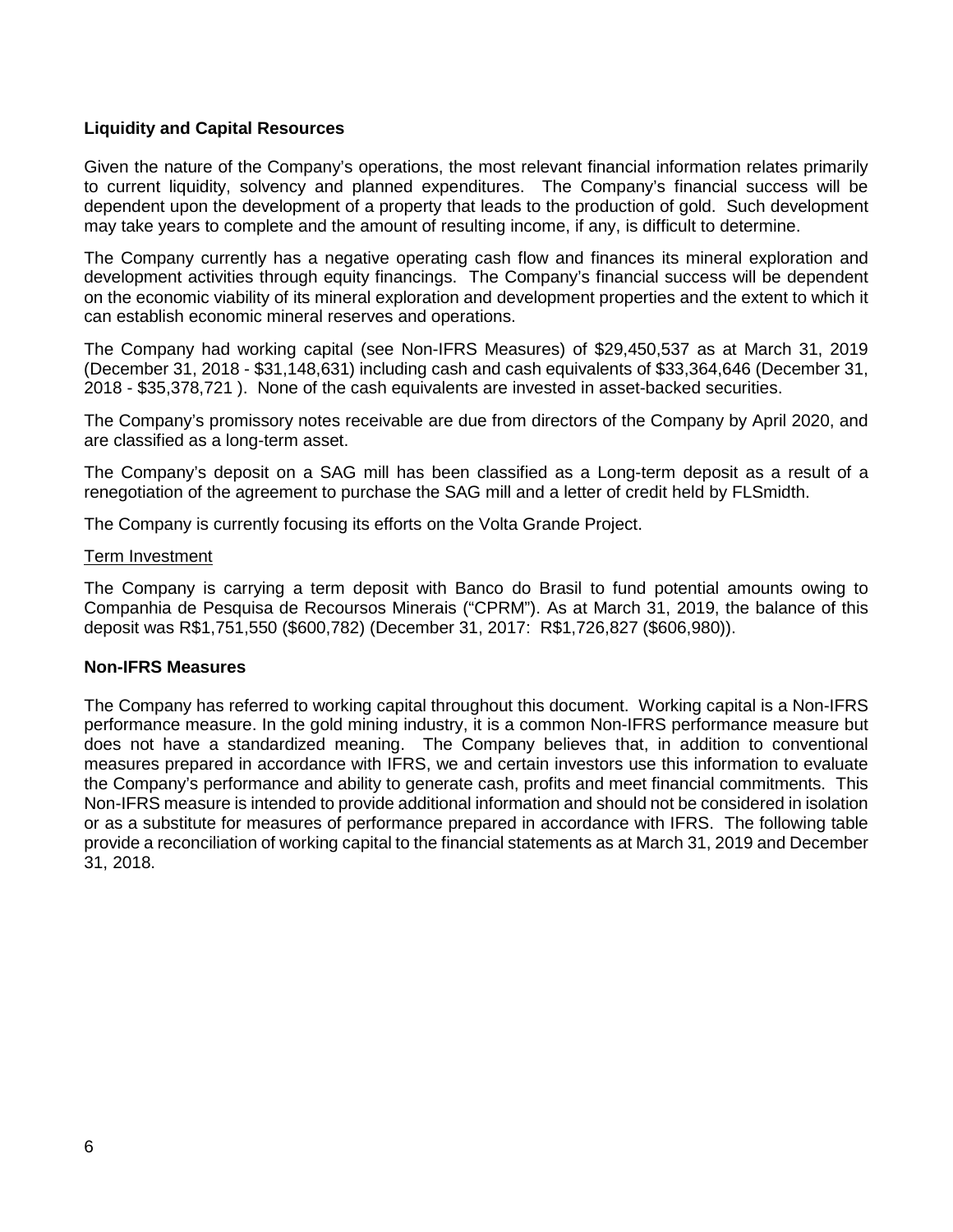#### **Liquidity and Capital Resources**

Given the nature of the Company's operations, the most relevant financial information relates primarily to current liquidity, solvency and planned expenditures. The Company's financial success will be dependent upon the development of a property that leads to the production of gold. Such development may take years to complete and the amount of resulting income, if any, is difficult to determine.

The Company currently has a negative operating cash flow and finances its mineral exploration and development activities through equity financings. The Company's financial success will be dependent on the economic viability of its mineral exploration and development properties and the extent to which it can establish economic mineral reserves and operations.

The Company had working capital (see Non-IFRS Measures) of \$29,450,537 as at March 31, 2019 (December 31, 2018 - \$31,148,631) including cash and cash equivalents of \$33,364,646 (December 31, 2018 - \$35,378,721 ). None of the cash equivalents are invested in asset-backed securities.

The Company's promissory notes receivable are due from directors of the Company by April 2020, and are classified as a long-term asset.

The Company's deposit on a SAG mill has been classified as a Long-term deposit as a result of a renegotiation of the agreement to purchase the SAG mill and a letter of credit held by FLSmidth.

The Company is currently focusing its efforts on the Volta Grande Project.

#### Term Investment

The Company is carrying a term deposit with Banco do Brasil to fund potential amounts owing to Companhia de Pesquisa de Recoursos Minerais ("CPRM"). As at March 31, 2019, the balance of this deposit was R\$1,751,550 (\$600,782) (December 31, 2017: R\$1,726,827 (\$606,980)).

#### **Non-IFRS Measures**

The Company has referred to working capital throughout this document. Working capital is a Non-IFRS performance measure. In the gold mining industry, it is a common Non-IFRS performance measure but does not have a standardized meaning. The Company believes that, in addition to conventional measures prepared in accordance with IFRS, we and certain investors use this information to evaluate the Company's performance and ability to generate cash, profits and meet financial commitments. This Non-IFRS measure is intended to provide additional information and should not be considered in isolation or as a substitute for measures of performance prepared in accordance with IFRS. The following table provide a reconciliation of working capital to the financial statements as at March 31, 2019 and December 31, 2018.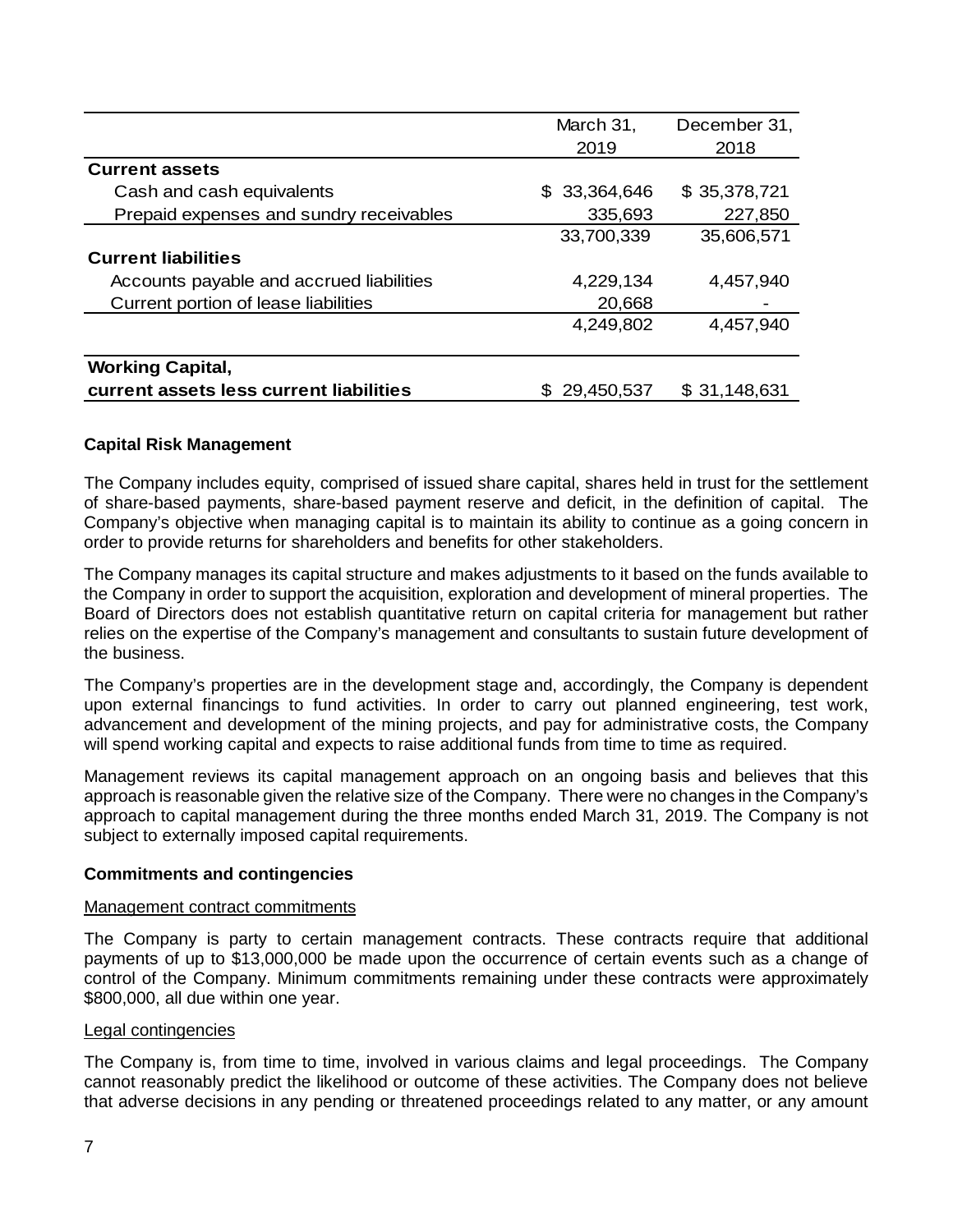|                                          | March 31,         | December 31, |
|------------------------------------------|-------------------|--------------|
|                                          | 2019              | 2018         |
| <b>Current assets</b>                    |                   |              |
| Cash and cash equivalents                | 33,364,646<br>SS. | \$35,378,721 |
| Prepaid expenses and sundry receivables  | 335,693           | 227,850      |
|                                          | 33,700,339        | 35,606,571   |
| <b>Current liabilities</b>               |                   |              |
| Accounts payable and accrued liabilities | 4,229,134         | 4,457,940    |
| Current portion of lease liabilities     | 20,668            |              |
|                                          | 4,249,802         | 4,457,940    |
| <b>Working Capital,</b>                  |                   |              |
| current assets less current liabilities  | 29,450,537        | \$31,148,631 |

#### **Capital Risk Management**

The Company includes equity, comprised of issued share capital, shares held in trust for the settlement of share-based payments, share-based payment reserve and deficit, in the definition of capital. The Company's objective when managing capital is to maintain its ability to continue as a going concern in order to provide returns for shareholders and benefits for other stakeholders.

The Company manages its capital structure and makes adjustments to it based on the funds available to the Company in order to support the acquisition, exploration and development of mineral properties. The Board of Directors does not establish quantitative return on capital criteria for management but rather relies on the expertise of the Company's management and consultants to sustain future development of the business.

The Company's properties are in the development stage and, accordingly, the Company is dependent upon external financings to fund activities. In order to carry out planned engineering, test work, advancement and development of the mining projects, and pay for administrative costs, the Company will spend working capital and expects to raise additional funds from time to time as required.

Management reviews its capital management approach on an ongoing basis and believes that this approach is reasonable given the relative size of the Company. There were no changes in the Company's approach to capital management during the three months ended March 31, 2019. The Company is not subject to externally imposed capital requirements.

#### **Commitments and contingencies**

#### Management contract commitments

The Company is party to certain management contracts. These contracts require that additional payments of up to \$13,000,000 be made upon the occurrence of certain events such as a change of control of the Company. Minimum commitments remaining under these contracts were approximately \$800,000, all due within one year.

#### Legal contingencies

The Company is, from time to time, involved in various claims and legal proceedings. The Company cannot reasonably predict the likelihood or outcome of these activities. The Company does not believe that adverse decisions in any pending or threatened proceedings related to any matter, or any amount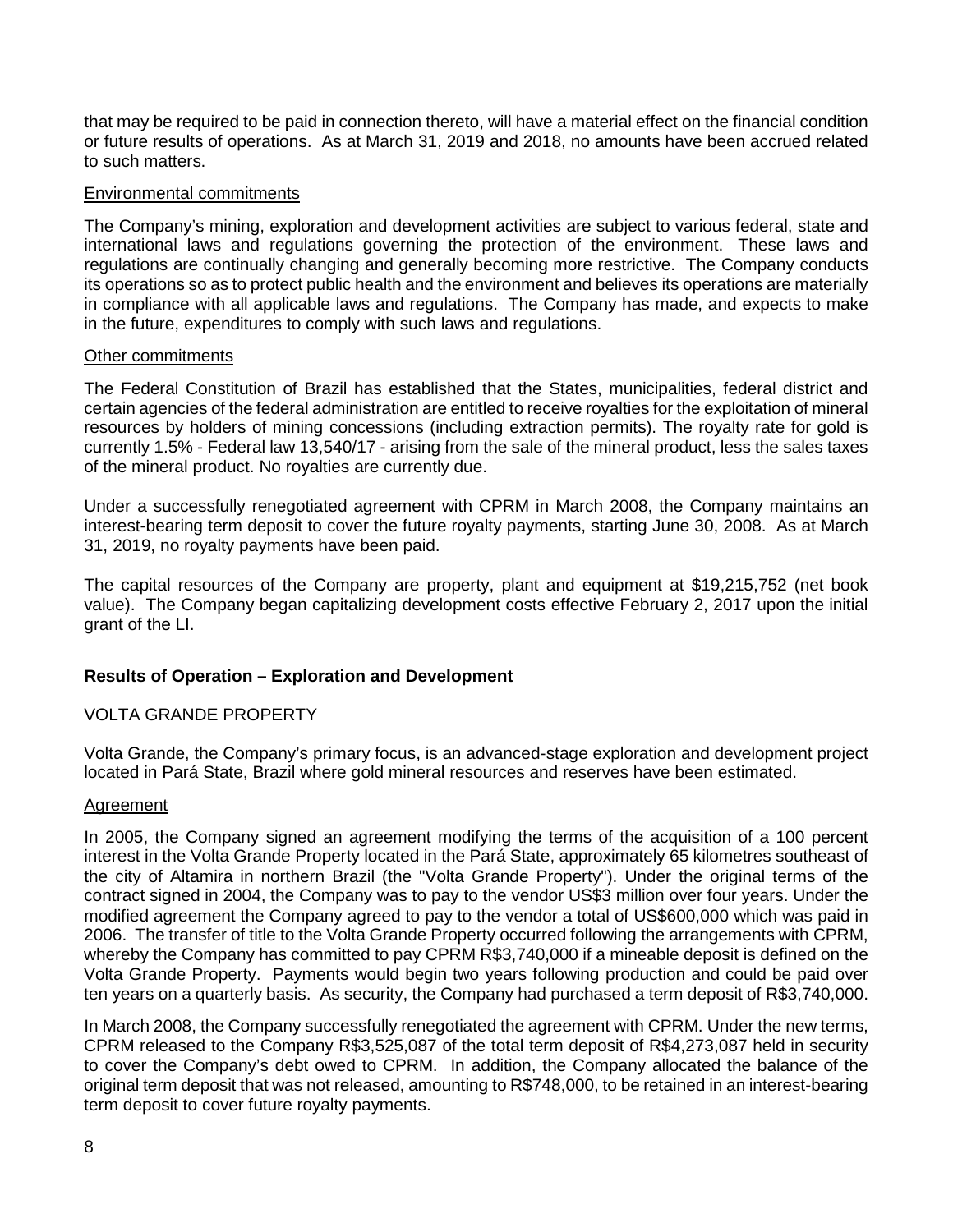that may be required to be paid in connection thereto, will have a material effect on the financial condition or future results of operations. As at March 31, 2019 and 2018, no amounts have been accrued related to such matters.

#### Environmental commitments

The Company's mining, exploration and development activities are subject to various federal, state and international laws and regulations governing the protection of the environment. These laws and regulations are continually changing and generally becoming more restrictive. The Company conducts its operations so as to protect public health and the environment and believes its operations are materially in compliance with all applicable laws and regulations. The Company has made, and expects to make in the future, expenditures to comply with such laws and regulations.

#### Other commitments

The Federal Constitution of Brazil has established that the States, municipalities, federal district and certain agencies of the federal administration are entitled to receive royalties for the exploitation of mineral resources by holders of mining concessions (including extraction permits). The royalty rate for gold is currently 1.5% - Federal law 13,540/17 - arising from the sale of the mineral product, less the sales taxes of the mineral product. No royalties are currently due.

Under a successfully renegotiated agreement with CPRM in March 2008, the Company maintains an interest-bearing term deposit to cover the future royalty payments, starting June 30, 2008. As at March 31, 2019, no royalty payments have been paid.

The capital resources of the Company are property, plant and equipment at \$19,215,752 (net book value). The Company began capitalizing development costs effective February 2, 2017 upon the initial grant of the LI.

#### **Results of Operation – Exploration and Development**

#### VOLTA GRANDE PROPERTY

Volta Grande, the Company's primary focus, is an advanced-stage exploration and development project located in Pará State, Brazil where gold mineral resources and reserves have been estimated.

#### Agreement

In 2005, the Company signed an agreement modifying the terms of the acquisition of a 100 percent interest in the Volta Grande Property located in the Pará State, approximately 65 kilometres southeast of the city of Altamira in northern Brazil (the "Volta Grande Property"). Under the original terms of the contract signed in 2004, the Company was to pay to the vendor US\$3 million over four years. Under the modified agreement the Company agreed to pay to the vendor a total of US\$600,000 which was paid in 2006. The transfer of title to the Volta Grande Property occurred following the arrangements with CPRM, whereby the Company has committed to pay CPRM R\$3,740,000 if a mineable deposit is defined on the Volta Grande Property. Payments would begin two years following production and could be paid over ten years on a quarterly basis. As security, the Company had purchased a term deposit of R\$3,740,000.

In March 2008, the Company successfully renegotiated the agreement with CPRM. Under the new terms, CPRM released to the Company R\$3,525,087 of the total term deposit of R\$4,273,087 held in security to cover the Company's debt owed to CPRM. In addition, the Company allocated the balance of the original term deposit that was not released, amounting to R\$748,000, to be retained in an interest-bearing term deposit to cover future royalty payments.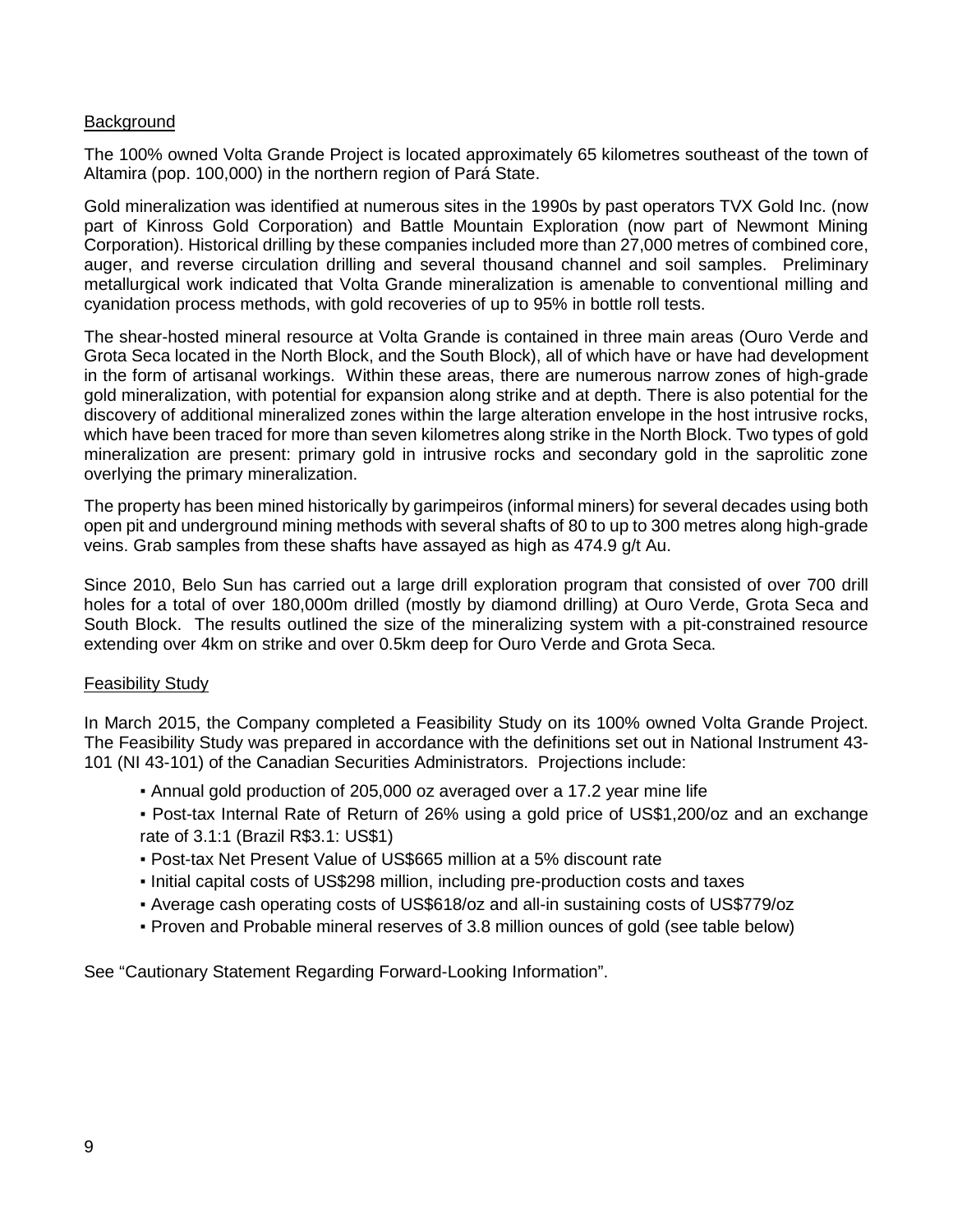#### **Background**

The 100% owned Volta Grande Project is located approximately 65 kilometres southeast of the town of Altamira (pop. 100,000) in the northern region of Pará State.

Gold mineralization was identified at numerous sites in the 1990s by past operators TVX Gold Inc. (now part of Kinross Gold Corporation) and Battle Mountain Exploration (now part of Newmont Mining Corporation). Historical drilling by these companies included more than 27,000 metres of combined core, auger, and reverse circulation drilling and several thousand channel and soil samples. Preliminary metallurgical work indicated that Volta Grande mineralization is amenable to conventional milling and cyanidation process methods, with gold recoveries of up to 95% in bottle roll tests.

The shear-hosted mineral resource at Volta Grande is contained in three main areas (Ouro Verde and Grota Seca located in the North Block, and the South Block), all of which have or have had development in the form of artisanal workings. Within these areas, there are numerous narrow zones of high-grade gold mineralization, with potential for expansion along strike and at depth. There is also potential for the discovery of additional mineralized zones within the large alteration envelope in the host intrusive rocks, which have been traced for more than seven kilometres along strike in the North Block. Two types of gold mineralization are present: primary gold in intrusive rocks and secondary gold in the saprolitic zone overlying the primary mineralization.

The property has been mined historically by garimpeiros (informal miners) for several decades using both open pit and underground mining methods with several shafts of 80 to up to 300 metres along high-grade veins. Grab samples from these shafts have assayed as high as 474.9 g/t Au.

Since 2010, Belo Sun has carried out a large drill exploration program that consisted of over 700 drill holes for a total of over 180,000m drilled (mostly by diamond drilling) at Ouro Verde, Grota Seca and South Block. The results outlined the size of the mineralizing system with a pit-constrained resource extending over 4km on strike and over 0.5km deep for Ouro Verde and Grota Seca.

#### Feasibility Study

In March 2015, the Company completed a Feasibility Study on its 100% owned Volta Grande Project. The Feasibility Study was prepared in accordance with the definitions set out in National Instrument 43- 101 (NI 43-101) of the Canadian Securities Administrators. Projections include:

- Annual gold production of 205,000 oz averaged over a 17.2 year mine life
- Post-tax Internal Rate of Return of 26% using a gold price of US\$1,200/oz and an exchange rate of 3.1:1 (Brazil R\$3.1: US\$1)
- Post-tax Net Present Value of US\$665 million at a 5% discount rate
- Initial capital costs of US\$298 million, including pre-production costs and taxes
- Average cash operating costs of US\$618/oz and all-in sustaining costs of US\$779/oz
- Proven and Probable mineral reserves of 3.8 million ounces of gold (see table below)

See "Cautionary Statement Regarding Forward-Looking Information".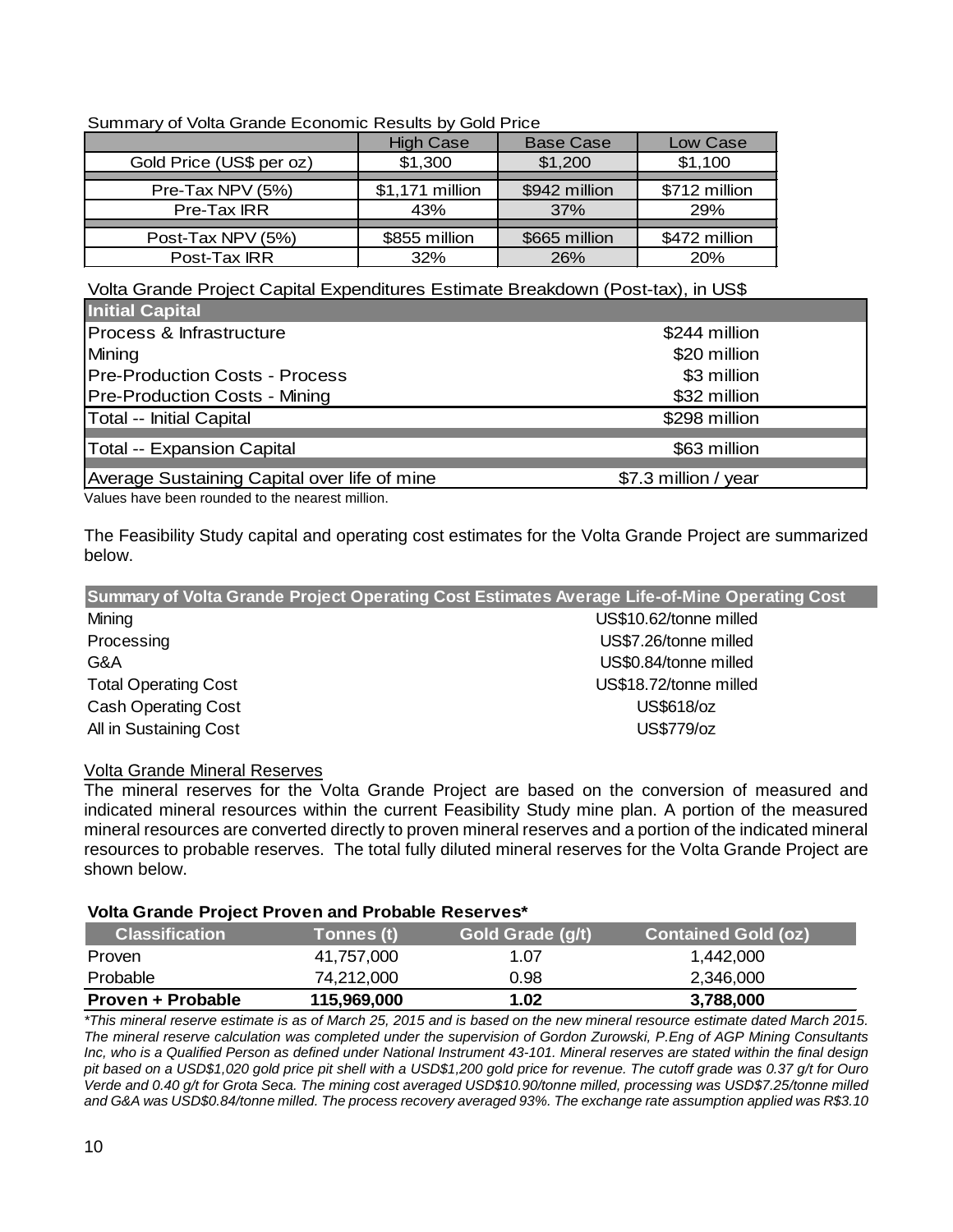| Summary of Volta Grande Economic Results by Gold Price |                  |                  |               |  |  |  |
|--------------------------------------------------------|------------------|------------------|---------------|--|--|--|
|                                                        | <b>High Case</b> | <b>Base Case</b> | Low Case      |  |  |  |
| Gold Price (US\$ per oz)                               | \$1,300          | \$1,200          | \$1,100       |  |  |  |
| Pre-Tax NPV (5%)                                       | \$1,171 million  | \$942 million    | \$712 million |  |  |  |
| Pre-Tax IRR                                            | 43%              | 37%              | 29%           |  |  |  |

Summary of Volta Grande Economic Results by Gold Price

Volta Grande Project Capital Expenditures Estimate Breakdown (Post-tax), in US\$

Post-Tax NPV (5%) | \$855 million | \$665 million | \$472 million Post-Tax IRR 32% 26% 20%

| <b>Initial Capital</b>                       |                      |
|----------------------------------------------|----------------------|
| Process & Infrastructure                     | \$244 million        |
| Mining                                       | \$20 million         |
| <b>Pre-Production Costs - Process</b>        | \$3 million          |
| <b>Pre-Production Costs - Mining</b>         | \$32 million         |
| Total -- Initial Capital                     | \$298 million        |
| Total -- Expansion Capital                   | \$63 million         |
| Average Sustaining Capital over life of mine | \$7.3 million / year |

Values have been rounded to the nearest million.

The Feasibility Study capital and operating cost estimates for the Volta Grande Project are summarized below.

|                             | Summary of Volta Grande Project Operating Cost Estimates Average Life-of-Mine Operating Cost |
|-----------------------------|----------------------------------------------------------------------------------------------|
| Mining                      | US\$10.62/tonne milled                                                                       |
| Processing                  | US\$7.26/tonne milled                                                                        |
| G&A                         | US\$0.84/tonne milled                                                                        |
| <b>Total Operating Cost</b> | US\$18.72/tonne milled                                                                       |
| <b>Cash Operating Cost</b>  | US\$618/oz                                                                                   |
| All in Sustaining Cost      | US\$779/oz                                                                                   |

## Volta Grande Mineral Reserves

The mineral reserves for the Volta Grande Project are based on the conversion of measured and indicated mineral resources within the current Feasibility Study mine plan. A portion of the measured mineral resources are converted directly to proven mineral reserves and a portion of the indicated mineral resources to probable reserves. The total fully diluted mineral reserves for the Volta Grande Project are shown below.

#### **Volta Grande Project Proven and Probable Reserves\***

| <b>Classification</b> | Tonnes (t) \ | Gold Grade (g/t) | <b>Contained Gold (oz)</b> |
|-----------------------|--------------|------------------|----------------------------|
| Proven                | 41,757,000   | 1.07             | 1,442,000                  |
| Probable              | 74.212.000   | 0.98             | 2,346,000                  |
| Proven + Probable     | 115,969,000  | 1.02             | 3,788,000                  |

*\*This mineral reserve estimate is as of March 25, 2015 and is based on the new mineral resource estimate dated March 2015. The mineral reserve calculation was completed under the supervision of Gordon Zurowski, P.Eng of AGP Mining Consultants Inc, who is a Qualified Person as defined under National Instrument 43-101. Mineral reserves are stated within the final design pit based on a USD\$1,020 gold price pit shell with a USD\$1,200 gold price for revenue. The cutoff grade was 0.37 g/t for Ouro Verde and 0.40 g/t for Grota Seca. The mining cost averaged USD\$10.90/tonne milled, processing was USD\$7.25/tonne milled and G&A was USD\$0.84/tonne milled. The process recovery averaged 93%. The exchange rate assumption applied was R\$3.10*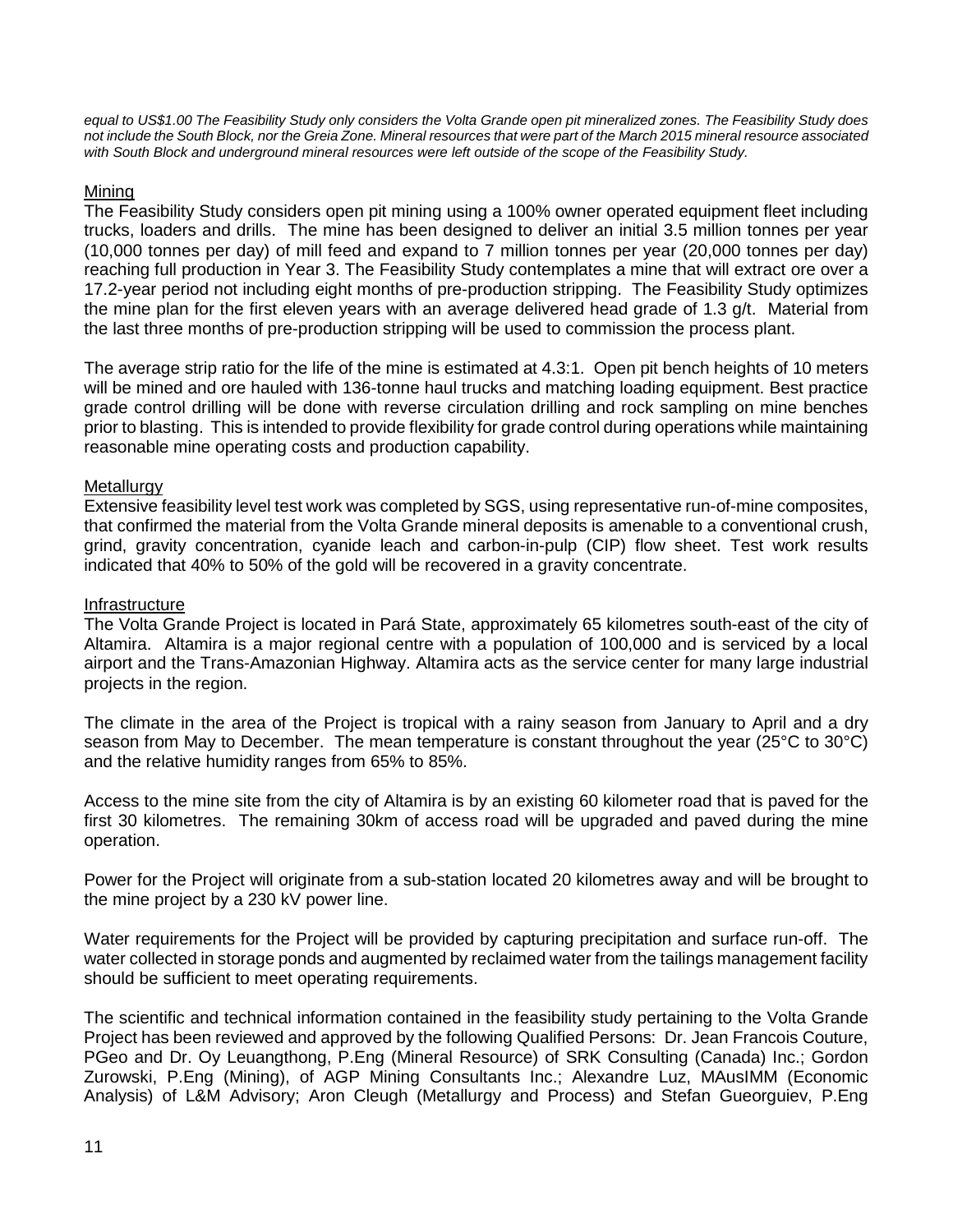*equal to US\$1.00 The Feasibility Study only considers the Volta Grande open pit mineralized zones. The Feasibility Study does not include the South Block, nor the Greia Zone. Mineral resources that were part of the March 2015 mineral resource associated with South Block and underground mineral resources were left outside of the scope of the Feasibility Study.* 

## Mining

The Feasibility Study considers open pit mining using a 100% owner operated equipment fleet including trucks, loaders and drills. The mine has been designed to deliver an initial 3.5 million tonnes per year (10,000 tonnes per day) of mill feed and expand to 7 million tonnes per year (20,000 tonnes per day) reaching full production in Year 3. The Feasibility Study contemplates a mine that will extract ore over a 17.2-year period not including eight months of pre-production stripping. The Feasibility Study optimizes the mine plan for the first eleven years with an average delivered head grade of 1.3 g/t. Material from the last three months of pre-production stripping will be used to commission the process plant.

The average strip ratio for the life of the mine is estimated at 4.3:1. Open pit bench heights of 10 meters will be mined and ore hauled with 136-tonne haul trucks and matching loading equipment. Best practice grade control drilling will be done with reverse circulation drilling and rock sampling on mine benches prior to blasting. This is intended to provide flexibility for grade control during operations while maintaining reasonable mine operating costs and production capability.

#### **Metallurgy**

Extensive feasibility level test work was completed by SGS, using representative run-of-mine composites, that confirmed the material from the Volta Grande mineral deposits is amenable to a conventional crush, grind, gravity concentration, cyanide leach and carbon-in-pulp (CIP) flow sheet. Test work results indicated that 40% to 50% of the gold will be recovered in a gravity concentrate.

#### Infrastructure

The Volta Grande Project is located in Pará State, approximately 65 kilometres south-east of the city of Altamira. Altamira is a major regional centre with a population of 100,000 and is serviced by a local airport and the Trans-Amazonian Highway. Altamira acts as the service center for many large industrial projects in the region.

The climate in the area of the Project is tropical with a rainy season from January to April and a dry season from May to December. The mean temperature is constant throughout the year (25°C to 30°C) and the relative humidity ranges from 65% to 85%.

Access to the mine site from the city of Altamira is by an existing 60 kilometer road that is paved for the first 30 kilometres. The remaining 30km of access road will be upgraded and paved during the mine operation.

Power for the Project will originate from a sub-station located 20 kilometres away and will be brought to the mine project by a 230 kV power line.

Water requirements for the Project will be provided by capturing precipitation and surface run-off. The water collected in storage ponds and augmented by reclaimed water from the tailings management facility should be sufficient to meet operating requirements.

The scientific and technical information contained in the feasibility study pertaining to the Volta Grande Project has been reviewed and approved by the following Qualified Persons: Dr. Jean Francois Couture, PGeo and Dr. Oy Leuangthong, P.Eng (Mineral Resource) of SRK Consulting (Canada) Inc.; Gordon Zurowski, P.Eng (Mining), of AGP Mining Consultants Inc.; Alexandre Luz, MAusIMM (Economic Analysis) of L&M Advisory; Aron Cleugh (Metallurgy and Process) and Stefan Gueorguiev, P.Eng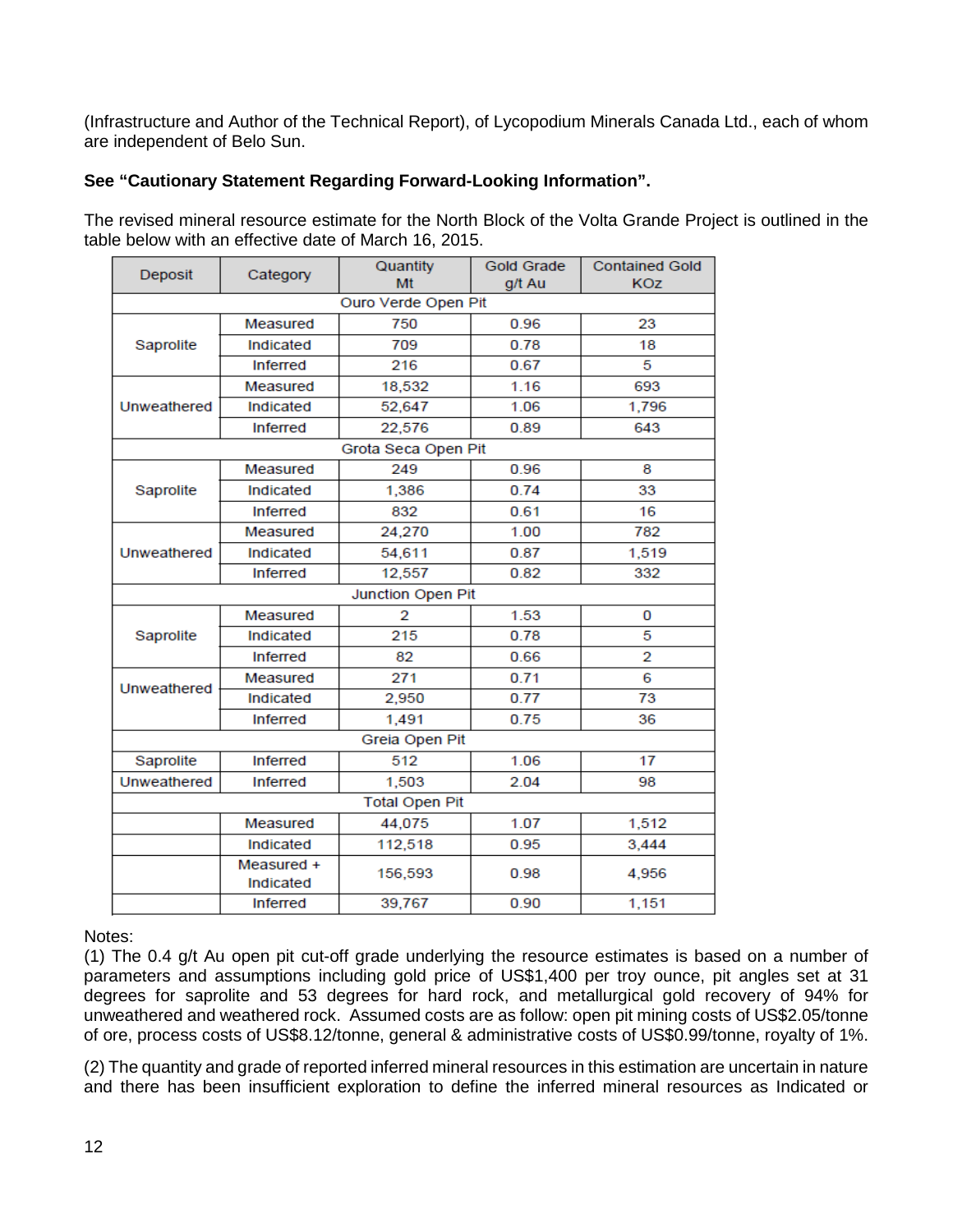(Infrastructure and Author of the Technical Report), of Lycopodium Minerals Canada Ltd., each of whom are independent of Belo Sun.

## **See "Cautionary Statement Regarding Forward-Looking Information".**

The revised mineral resource estimate for the North Block of the Volta Grande Project is outlined in the table below with an effective date of March 16, 2015.

| Deposit     | Category                | Quantity<br>Mt        | <b>Gold Grade</b><br>g/t Au | <b>Contained Gold</b><br><b>KOZ</b> |  |
|-------------|-------------------------|-----------------------|-----------------------------|-------------------------------------|--|
|             |                         | Ouro Verde Open Pit   |                             |                                     |  |
|             | Measured                | 750                   | 0.96                        | 23                                  |  |
| Saprolite   | Indicated               | 709                   | 0.78                        | 18                                  |  |
|             | <b>Inferred</b>         | 216                   | 0.67                        | 5                                   |  |
|             | Measured                | 18,532                | 1.16                        | 693                                 |  |
| Unweathered | Indicated               | 52,647                | 1.06                        | 1,796                               |  |
|             | <b>Inferred</b>         | 22,576                | 0.89                        | 643                                 |  |
|             |                         | Grota Seca Open Pit   |                             |                                     |  |
|             | Measured                | 249                   | 0.96                        | 8                                   |  |
| Saprolite   | Indicated               | 1,386                 | 0.74                        | 33                                  |  |
|             | <b>Inferred</b>         | 832                   | 0.61                        | 16                                  |  |
|             | Measured                | 24,270                | 1.00                        | 782                                 |  |
| Unweathered | Indicated               | 54,611                | 0.87                        | 1,519                               |  |
|             | <b>Inferred</b>         | 12,557<br>0.82        |                             | 332                                 |  |
|             |                         | Junction Open Pit     |                             |                                     |  |
|             | Measured                | 2                     | 1.53                        | 0                                   |  |
| Saprolite   | Indicated               | 215                   | 0.78                        | 5                                   |  |
|             | Inferred                | 82                    | 0.66                        | 2                                   |  |
| Unweathered | Measured                | 271                   | 0.71                        | 6                                   |  |
|             | Indicated               | 2,950                 | 0.77                        | 73                                  |  |
|             | <b>Inferred</b>         | 1,491                 | 0.75                        | 36                                  |  |
|             |                         | Greia Open Pit        |                             |                                     |  |
| Saprolite   | <b>Inferred</b>         | 512                   | 1.06                        | 17                                  |  |
| Unweathered | <b>Inferred</b>         | 1,503                 | 2.04                        | 98                                  |  |
|             |                         | <b>Total Open Pit</b> |                             |                                     |  |
|             | Measured                | 44,075                | 1.07                        | 1,512                               |  |
|             | Indicated               | 112,518               | 0.95                        | 3,444                               |  |
|             | Measured +<br>Indicated | 156,593               | 0.98                        | 4,956                               |  |
|             | <b>Inferred</b>         | 39,767                | 0.90                        | 1,151                               |  |

Notes:

(1) The 0.4 g/t Au open pit cut-off grade underlying the resource estimates is based on a number of parameters and assumptions including gold price of US\$1,400 per troy ounce, pit angles set at 31 degrees for saprolite and 53 degrees for hard rock, and metallurgical gold recovery of 94% for unweathered and weathered rock. Assumed costs are as follow: open pit mining costs of US\$2.05/tonne of ore, process costs of US\$8.12/tonne, general & administrative costs of US\$0.99/tonne, royalty of 1%.

(2) The quantity and grade of reported inferred mineral resources in this estimation are uncertain in nature and there has been insufficient exploration to define the inferred mineral resources as Indicated or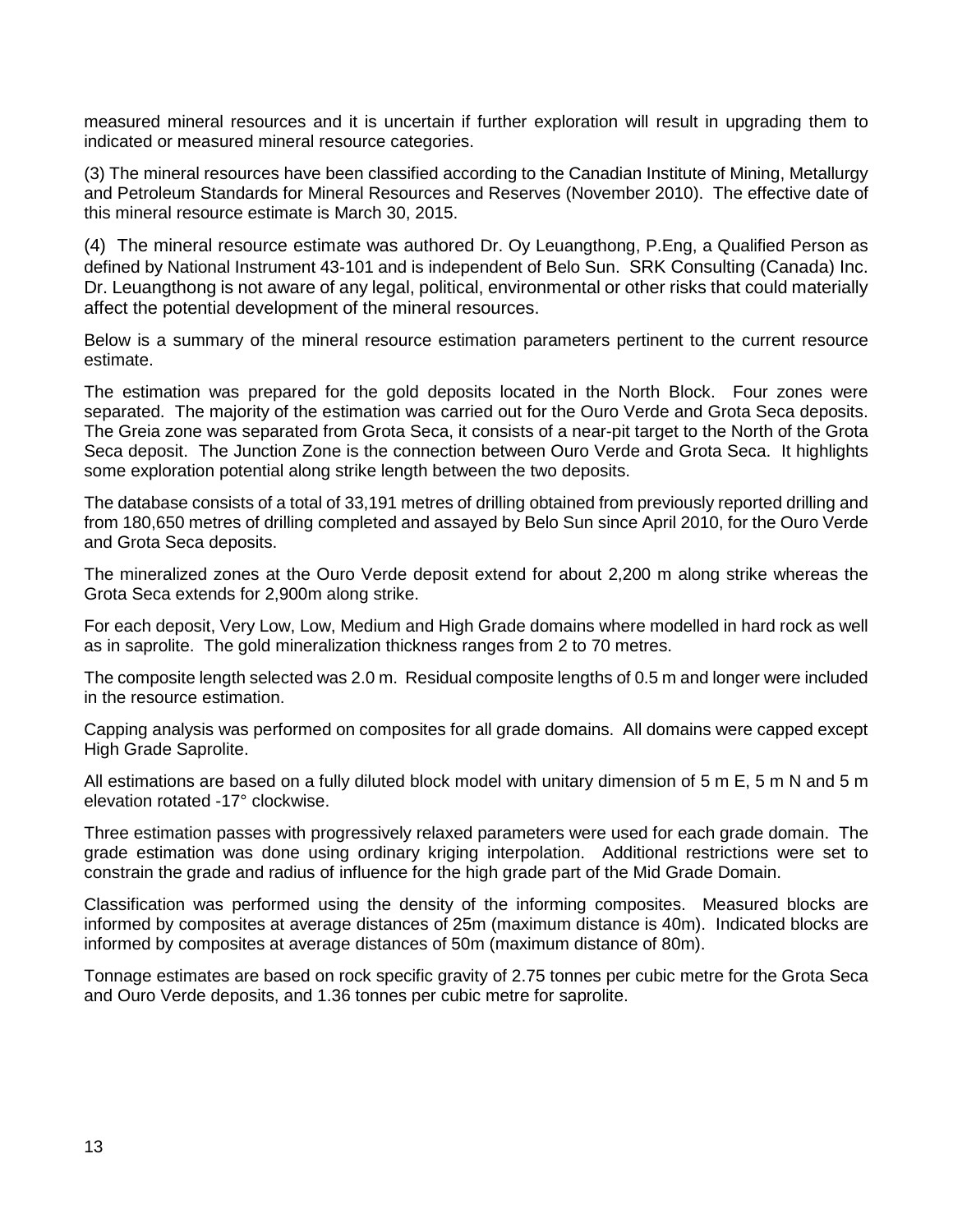measured mineral resources and it is uncertain if further exploration will result in upgrading them to indicated or measured mineral resource categories.

(3) The mineral resources have been classified according to the Canadian Institute of Mining, Metallurgy and Petroleum Standards for Mineral Resources and Reserves (November 2010). The effective date of this mineral resource estimate is March 30, 2015.

(4) The mineral resource estimate was authored Dr. Oy Leuangthong, P.Eng, a Qualified Person as defined by National Instrument 43-101 and is independent of Belo Sun. SRK Consulting (Canada) Inc. Dr. Leuangthong is not aware of any legal, political, environmental or other risks that could materially affect the potential development of the mineral resources.

Below is a summary of the mineral resource estimation parameters pertinent to the current resource estimate.

The estimation was prepared for the gold deposits located in the North Block. Four zones were separated. The majority of the estimation was carried out for the Ouro Verde and Grota Seca deposits. The Greia zone was separated from Grota Seca, it consists of a near-pit target to the North of the Grota Seca deposit. The Junction Zone is the connection between Ouro Verde and Grota Seca. It highlights some exploration potential along strike length between the two deposits.

The database consists of a total of 33,191 metres of drilling obtained from previously reported drilling and from 180,650 metres of drilling completed and assayed by Belo Sun since April 2010, for the Ouro Verde and Grota Seca deposits.

The mineralized zones at the Ouro Verde deposit extend for about 2,200 m along strike whereas the Grota Seca extends for 2,900m along strike.

For each deposit, Very Low, Low, Medium and High Grade domains where modelled in hard rock as well as in saprolite. The gold mineralization thickness ranges from 2 to 70 metres.

The composite length selected was 2.0 m. Residual composite lengths of 0.5 m and longer were included in the resource estimation.

Capping analysis was performed on composites for all grade domains. All domains were capped except High Grade Saprolite.

All estimations are based on a fully diluted block model with unitary dimension of 5 m E, 5 m N and 5 m elevation rotated -17° clockwise.

Three estimation passes with progressively relaxed parameters were used for each grade domain. The grade estimation was done using ordinary kriging interpolation. Additional restrictions were set to constrain the grade and radius of influence for the high grade part of the Mid Grade Domain.

Classification was performed using the density of the informing composites. Measured blocks are informed by composites at average distances of 25m (maximum distance is 40m). Indicated blocks are informed by composites at average distances of 50m (maximum distance of 80m).

Tonnage estimates are based on rock specific gravity of 2.75 tonnes per cubic metre for the Grota Seca and Ouro Verde deposits, and 1.36 tonnes per cubic metre for saprolite.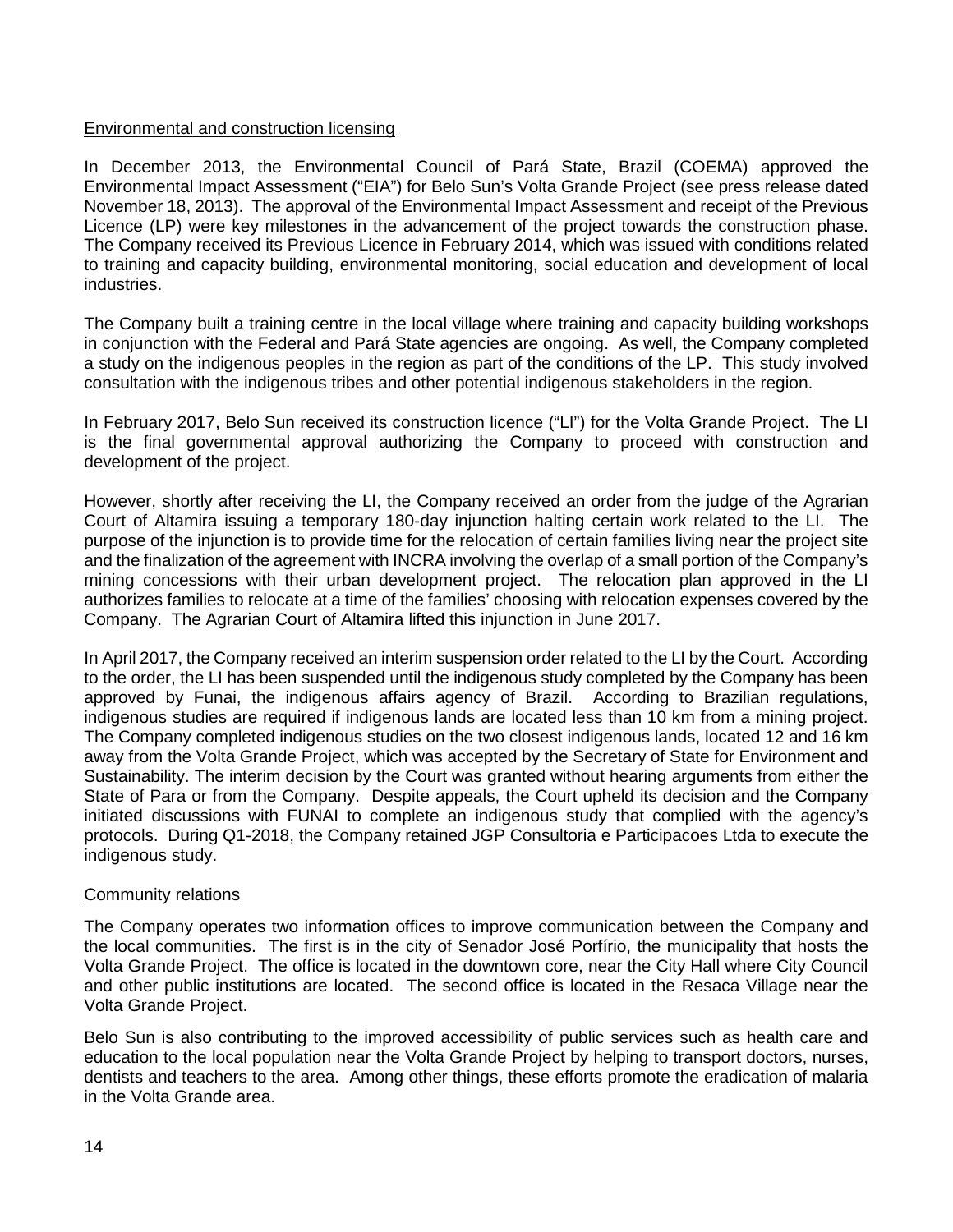#### Environmental and construction licensing

In December 2013, the Environmental Council of Pará State, Brazil (COEMA) approved the Environmental Impact Assessment ("EIA") for Belo Sun's Volta Grande Project (see press release dated November 18, 2013). The approval of the Environmental Impact Assessment and receipt of the Previous Licence (LP) were key milestones in the advancement of the project towards the construction phase. The Company received its Previous Licence in February 2014, which was issued with conditions related to training and capacity building, environmental monitoring, social education and development of local industries.

The Company built a training centre in the local village where training and capacity building workshops in conjunction with the Federal and Pará State agencies are ongoing. As well, the Company completed a study on the indigenous peoples in the region as part of the conditions of the LP. This study involved consultation with the indigenous tribes and other potential indigenous stakeholders in the region.

In February 2017, Belo Sun received its construction licence ("LI") for the Volta Grande Project. The LI is the final governmental approval authorizing the Company to proceed with construction and development of the project.

However, shortly after receiving the LI, the Company received an order from the judge of the Agrarian Court of Altamira issuing a temporary 180-day injunction halting certain work related to the LI. The purpose of the injunction is to provide time for the relocation of certain families living near the project site and the finalization of the agreement with INCRA involving the overlap of a small portion of the Company's mining concessions with their urban development project. The relocation plan approved in the LI authorizes families to relocate at a time of the families' choosing with relocation expenses covered by the Company. The Agrarian Court of Altamira lifted this injunction in June 2017.

In April 2017, the Company received an interim suspension order related to the LI by the Court. According to the order, the LI has been suspended until the indigenous study completed by the Company has been approved by Funai, the indigenous affairs agency of Brazil. According to Brazilian regulations, indigenous studies are required if indigenous lands are located less than 10 km from a mining project. The Company completed indigenous studies on the two closest indigenous lands, located 12 and 16 km away from the Volta Grande Project, which was accepted by the Secretary of State for Environment and Sustainability. The interim decision by the Court was granted without hearing arguments from either the State of Para or from the Company. Despite appeals, the Court upheld its decision and the Company initiated discussions with FUNAI to complete an indigenous study that complied with the agency's protocols. During Q1-2018, the Company retained JGP Consultoria e Participacoes Ltda to execute the indigenous study.

#### Community relations

The Company operates two information offices to improve communication between the Company and the local communities. The first is in the city of Senador José Porfírio, the municipality that hosts the Volta Grande Project. The office is located in the downtown core, near the City Hall where City Council and other public institutions are located. The second office is located in the Resaca Village near the Volta Grande Project.

Belo Sun is also contributing to the improved accessibility of public services such as health care and education to the local population near the Volta Grande Project by helping to transport doctors, nurses, dentists and teachers to the area. Among other things, these efforts promote the eradication of malaria in the Volta Grande area.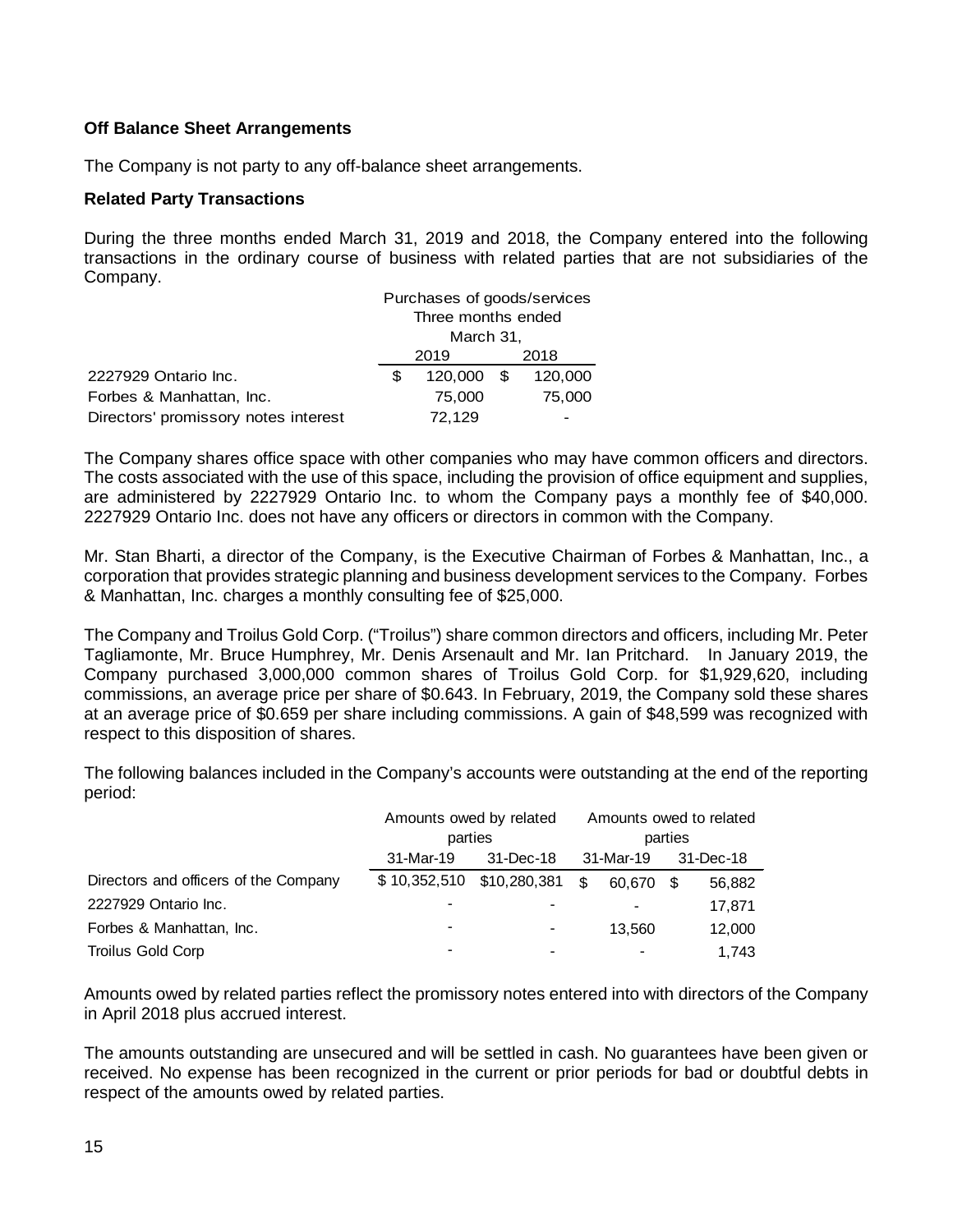## **Off Balance Sheet Arrangements**

The Company is not party to any off-balance sheet arrangements.

#### **Related Party Transactions**

During the three months ended March 31, 2019 and 2018, the Company entered into the following transactions in the ordinary course of business with related parties that are not subsidiaries of the Company.

|                                      | Purchases of goods/services |         |        |         |  |
|--------------------------------------|-----------------------------|---------|--------|---------|--|
|                                      | Three months ended          |         |        |         |  |
|                                      | March 31,                   |         |        |         |  |
|                                      | 2019<br>2018                |         |        |         |  |
| 2227929 Ontario Inc.                 |                             | 120,000 | \$.    | 120,000 |  |
| Forbes & Manhattan, Inc.             | 75,000                      |         | 75,000 |         |  |
| Directors' promissory notes interest | 72,129                      |         |        |         |  |

The Company shares office space with other companies who may have common officers and directors. The costs associated with the use of this space, including the provision of office equipment and supplies, are administered by 2227929 Ontario Inc. to whom the Company pays a monthly fee of \$40,000. 2227929 Ontario Inc. does not have any officers or directors in common with the Company.

Mr. Stan Bharti, a director of the Company, is the Executive Chairman of Forbes & Manhattan, Inc., a corporation that provides strategic planning and business development services to the Company. Forbes & Manhattan, Inc. charges a monthly consulting fee of \$25,000.

The Company and Troilus Gold Corp. ("Troilus") share common directors and officers, including Mr. Peter Tagliamonte, Mr. Bruce Humphrey, Mr. Denis Arsenault and Mr. Ian Pritchard. In January 2019, the Company purchased 3,000,000 common shares of Troilus Gold Corp. for \$1,929,620, including commissions, an average price per share of \$0.643. In February, 2019, the Company sold these shares at an average price of \$0.659 per share including commissions. A gain of \$48,599 was recognized with respect to this disposition of shares.

The following balances included in the Company's accounts were outstanding at the end of the reporting period:

|                                       | Amounts owed by related<br>parties<br>31-Dec-18<br>31-Mar-19 |                          |    | Amounts owed to related<br>parties |    |           |
|---------------------------------------|--------------------------------------------------------------|--------------------------|----|------------------------------------|----|-----------|
|                                       |                                                              |                          |    | 31-Mar-19                          |    | 31-Dec-18 |
| Directors and officers of the Company | \$10,352,510                                                 | \$10,280,381             | \$ | 60.670                             | -S | 56,882    |
| 2227929 Ontario Inc.                  |                                                              |                          |    | -                                  |    | 17.871    |
| Forbes & Manhattan, Inc.              | $\overline{\phantom{0}}$                                     | $\overline{\phantom{a}}$ |    | 13.560                             |    | 12,000    |
| Troilus Gold Corp                     | -                                                            | $\overline{\phantom{a}}$ |    | $\,$                               |    | 1.743     |

Amounts owed by related parties reflect the promissory notes entered into with directors of the Company in April 2018 plus accrued interest.

The amounts outstanding are unsecured and will be settled in cash. No guarantees have been given or received. No expense has been recognized in the current or prior periods for bad or doubtful debts in respect of the amounts owed by related parties.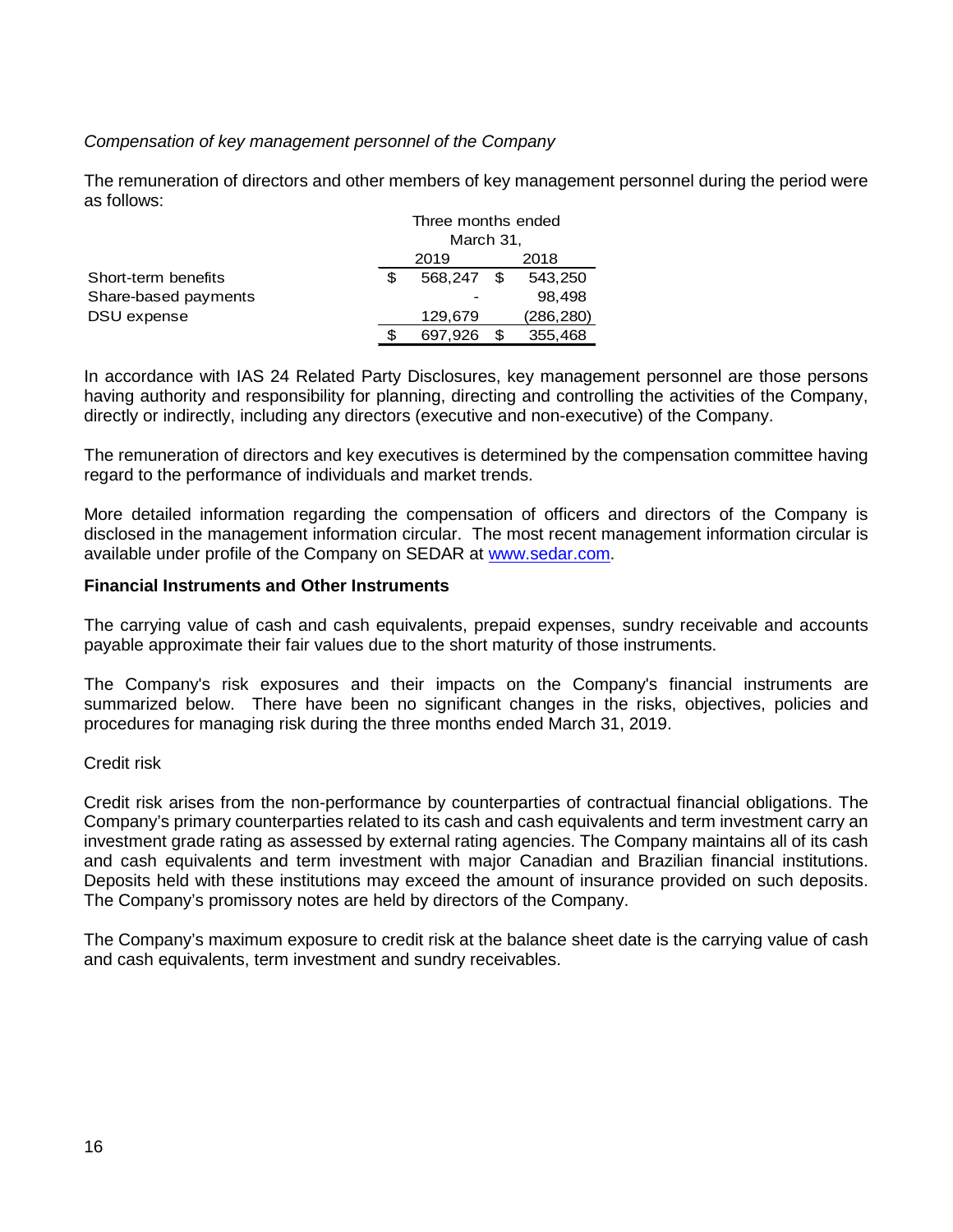## *Compensation of key management personnel of the Company*

The remuneration of directors and other members of key management personnel during the period were as follows:

|                      |              | Three months ended |        |           |  |
|----------------------|--------------|--------------------|--------|-----------|--|
|                      | March 31,    |                    |        |           |  |
|                      | 2018<br>2019 |                    |        |           |  |
| Short-term benefits  |              | 568.247            |        | 543,250   |  |
| Share-based payments |              |                    | 98.498 |           |  |
| DSU expense          |              | 129,679            |        | (286,280) |  |
|                      |              | 355,468            |        |           |  |

In accordance with IAS 24 Related Party Disclosures, key management personnel are those persons having authority and responsibility for planning, directing and controlling the activities of the Company, directly or indirectly, including any directors (executive and non-executive) of the Company.

The remuneration of directors and key executives is determined by the compensation committee having regard to the performance of individuals and market trends.

More detailed information regarding the compensation of officers and directors of the Company is disclosed in the management information circular. The most recent management information circular is available under profile of the Company on SEDAR at [www.sedar.com.](http://www.sedar.com/)

#### **Financial Instruments and Other Instruments**

The carrying value of cash and cash equivalents, prepaid expenses, sundry receivable and accounts payable approximate their fair values due to the short maturity of those instruments.

The Company's risk exposures and their impacts on the Company's financial instruments are summarized below. There have been no significant changes in the risks, objectives, policies and procedures for managing risk during the three months ended March 31, 2019.

#### Credit risk

Credit risk arises from the non-performance by counterparties of contractual financial obligations. The Company's primary counterparties related to its cash and cash equivalents and term investment carry an investment grade rating as assessed by external rating agencies. The Company maintains all of its cash and cash equivalents and term investment with major Canadian and Brazilian financial institutions. Deposits held with these institutions may exceed the amount of insurance provided on such deposits. The Company's promissory notes are held by directors of the Company.

The Company's maximum exposure to credit risk at the balance sheet date is the carrying value of cash and cash equivalents, term investment and sundry receivables.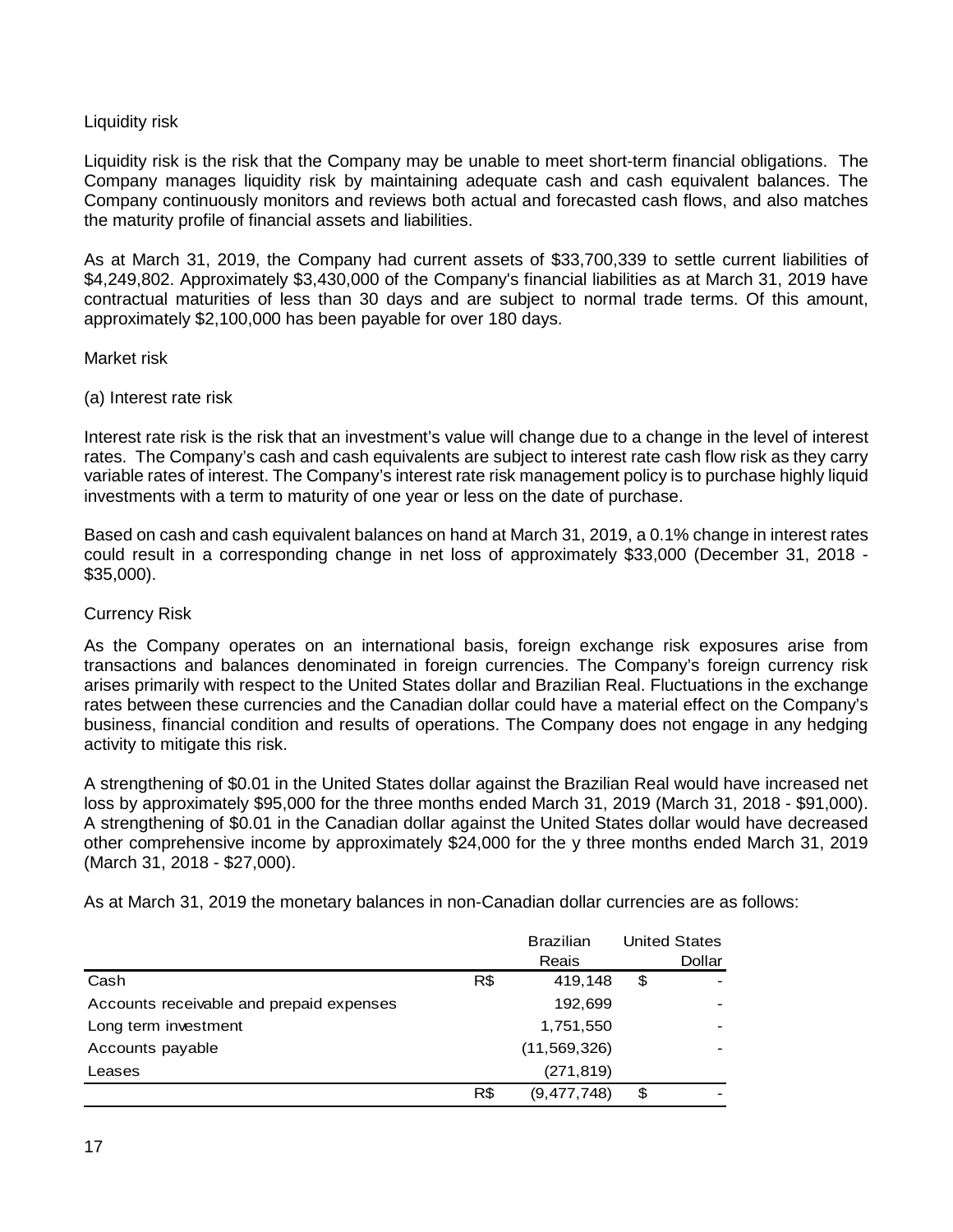## Liquidity risk

Liquidity risk is the risk that the Company may be unable to meet short-term financial obligations. The Company manages liquidity risk by maintaining adequate cash and cash equivalent balances. The Company continuously monitors and reviews both actual and forecasted cash flows, and also matches the maturity profile of financial assets and liabilities.

As at March 31, 2019, the Company had current assets of \$33,700,339 to settle current liabilities of \$4,249,802. Approximately \$3,430,000 of the Company's financial liabilities as at March 31, 2019 have contractual maturities of less than 30 days and are subject to normal trade terms. Of this amount, approximately \$2,100,000 has been payable for over 180 days.

#### Market risk

## (a) Interest rate risk

Interest rate risk is the risk that an investment's value will change due to a change in the level of interest rates. The Company's cash and cash equivalents are subject to interest rate cash flow risk as they carry variable rates of interest. The Company's interest rate risk management policy is to purchase highly liquid investments with a term to maturity of one year or less on the date of purchase.

Based on cash and cash equivalent balances on hand at March 31, 2019, a 0.1% change in interest rates could result in a corresponding change in net loss of approximately \$33,000 (December 31, 2018 - \$35,000).

## Currency Risk

As the Company operates on an international basis, foreign exchange risk exposures arise from transactions and balances denominated in foreign currencies. The Company's foreign currency risk arises primarily with respect to the United States dollar and Brazilian Real. Fluctuations in the exchange rates between these currencies and the Canadian dollar could have a material effect on the Company's business, financial condition and results of operations. The Company does not engage in any hedging activity to mitigate this risk.

A strengthening of \$0.01 in the United States dollar against the Brazilian Real would have increased net loss by approximately \$95,000 for the three months ended March 31, 2019 (March 31, 2018 - \$91,000). A strengthening of \$0.01 in the Canadian dollar against the United States dollar would have decreased other comprehensive income by approximately \$24,000 for the y three months ended March 31, 2019 (March 31, 2018 - \$27,000).

As at March 31, 2019 the monetary balances in non-Canadian dollar currencies are as follows:

|                                          |     | <b>Brazilian</b> | <b>United States</b> |
|------------------------------------------|-----|------------------|----------------------|
|                                          |     | Reais            | Dollar               |
| Cash                                     | R\$ | 419,148          | \$                   |
| Accounts receivable and prepaid expenses |     | 192,699          |                      |
| Long term investment                     |     | 1,751,550        |                      |
| Accounts payable                         |     | (11, 569, 326)   |                      |
| Leases                                   |     | (271, 819)       |                      |
|                                          | R\$ | (9, 477, 748)    | \$                   |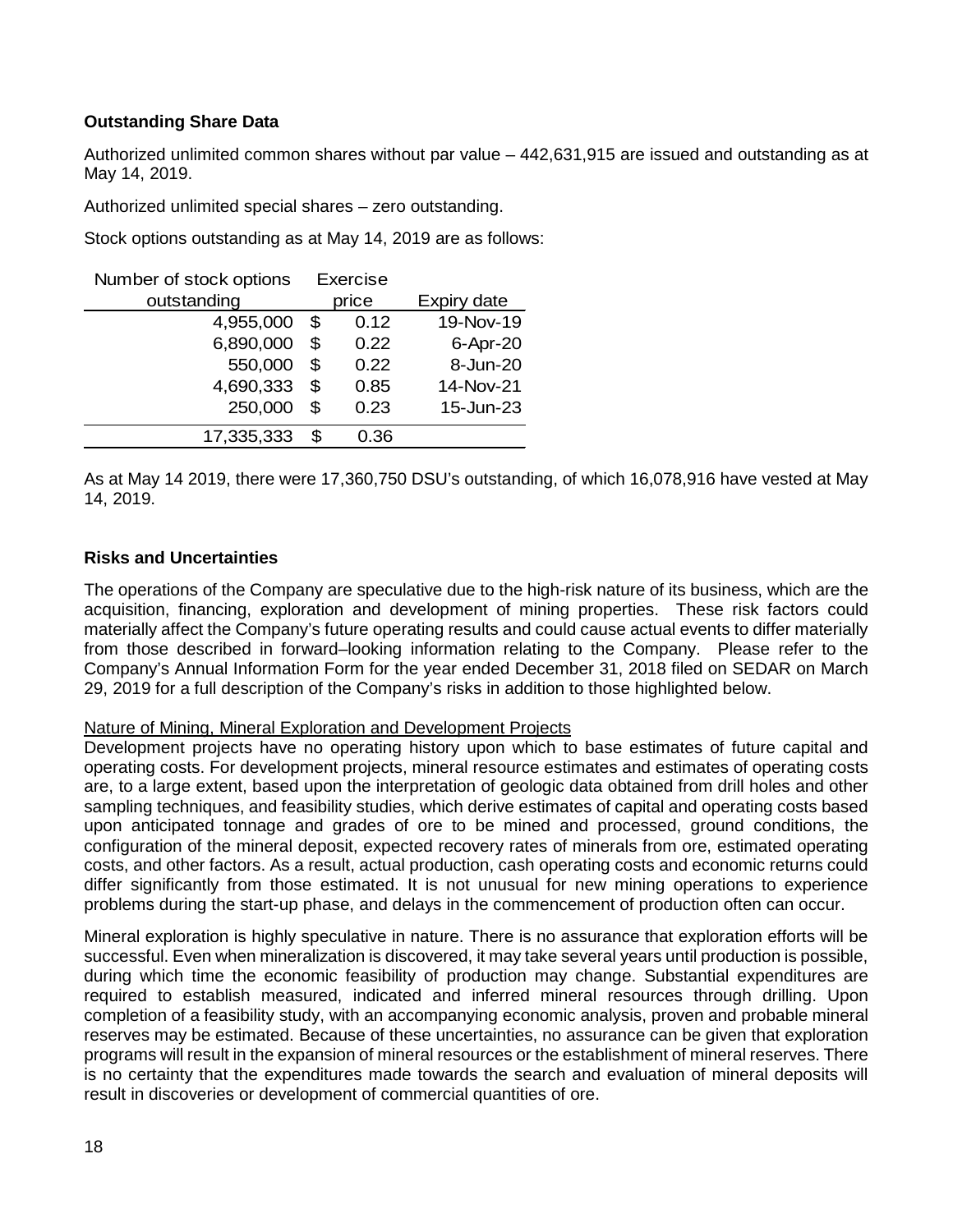## **Outstanding Share Data**

Authorized unlimited common shares without par value – 442,631,915 are issued and outstanding as at May 14, 2019.

Authorized unlimited special shares – zero outstanding.

Stock options outstanding as at May 14, 2019 are as follows:

| Number of stock options | Exercise |       |             |
|-------------------------|----------|-------|-------------|
| outstanding             |          | price | Expiry date |
| 4,955,000               | \$       | 0.12  | 19-Nov-19   |
| 6,890,000               | \$       | 0.22  | 6-Apr-20    |
| 550,000                 | \$       | 0.22  | 8-Jun-20    |
| 4,690,333               | \$       | 0.85  | 14-Nov-21   |
| 250,000                 | \$       | 0.23  | 15-Jun-23   |
| 17,335,333              | \$       | 0.36  |             |

As at May 14 2019, there were 17,360,750 DSU's outstanding, of which 16,078,916 have vested at May 14, 2019.

#### **Risks and Uncertainties**

The operations of the Company are speculative due to the high-risk nature of its business, which are the acquisition, financing, exploration and development of mining properties. These risk factors could materially affect the Company's future operating results and could cause actual events to differ materially from those described in forward–looking information relating to the Company. Please refer to the Company's Annual Information Form for the year ended December 31, 2018 filed on SEDAR on March 29, 2019 for a full description of the Company's risks in addition to those highlighted below.

#### Nature of Mining, Mineral Exploration and Development Projects

Development projects have no operating history upon which to base estimates of future capital and operating costs. For development projects, mineral resource estimates and estimates of operating costs are, to a large extent, based upon the interpretation of geologic data obtained from drill holes and other sampling techniques, and feasibility studies, which derive estimates of capital and operating costs based upon anticipated tonnage and grades of ore to be mined and processed, ground conditions, the configuration of the mineral deposit, expected recovery rates of minerals from ore, estimated operating costs, and other factors. As a result, actual production, cash operating costs and economic returns could differ significantly from those estimated. It is not unusual for new mining operations to experience problems during the start-up phase, and delays in the commencement of production often can occur.

Mineral exploration is highly speculative in nature. There is no assurance that exploration efforts will be successful. Even when mineralization is discovered, it may take several years until production is possible, during which time the economic feasibility of production may change. Substantial expenditures are required to establish measured, indicated and inferred mineral resources through drilling. Upon completion of a feasibility study, with an accompanying economic analysis, proven and probable mineral reserves may be estimated. Because of these uncertainties, no assurance can be given that exploration programs will result in the expansion of mineral resources or the establishment of mineral reserves. There is no certainty that the expenditures made towards the search and evaluation of mineral deposits will result in discoveries or development of commercial quantities of ore.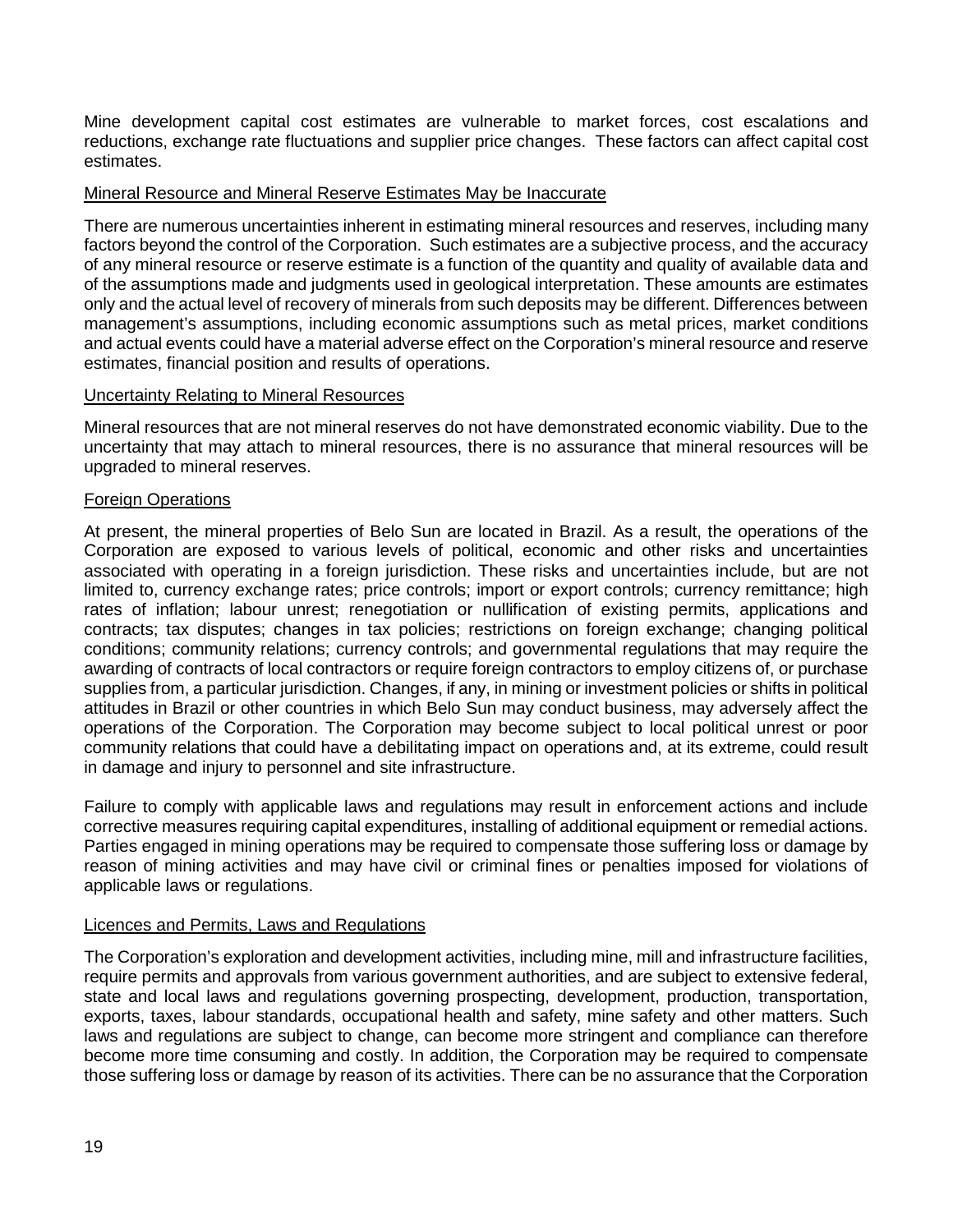Mine development capital cost estimates are vulnerable to market forces, cost escalations and reductions, exchange rate fluctuations and supplier price changes. These factors can affect capital cost estimates.

#### Mineral Resource and Mineral Reserve Estimates May be Inaccurate

There are numerous uncertainties inherent in estimating mineral resources and reserves, including many factors beyond the control of the Corporation. Such estimates are a subjective process, and the accuracy of any mineral resource or reserve estimate is a function of the quantity and quality of available data and of the assumptions made and judgments used in geological interpretation. These amounts are estimates only and the actual level of recovery of minerals from such deposits may be different. Differences between management's assumptions, including economic assumptions such as metal prices, market conditions and actual events could have a material adverse effect on the Corporation's mineral resource and reserve estimates, financial position and results of operations.

#### Uncertainty Relating to Mineral Resources

Mineral resources that are not mineral reserves do not have demonstrated economic viability. Due to the uncertainty that may attach to mineral resources, there is no assurance that mineral resources will be upgraded to mineral reserves.

#### Foreign Operations

At present, the mineral properties of Belo Sun are located in Brazil. As a result, the operations of the Corporation are exposed to various levels of political, economic and other risks and uncertainties associated with operating in a foreign jurisdiction. These risks and uncertainties include, but are not limited to, currency exchange rates; price controls; import or export controls; currency remittance; high rates of inflation; labour unrest; renegotiation or nullification of existing permits, applications and contracts; tax disputes; changes in tax policies; restrictions on foreign exchange; changing political conditions; community relations; currency controls; and governmental regulations that may require the awarding of contracts of local contractors or require foreign contractors to employ citizens of, or purchase supplies from, a particular jurisdiction. Changes, if any, in mining or investment policies or shifts in political attitudes in Brazil or other countries in which Belo Sun may conduct business, may adversely affect the operations of the Corporation. The Corporation may become subject to local political unrest or poor community relations that could have a debilitating impact on operations and, at its extreme, could result in damage and injury to personnel and site infrastructure.

Failure to comply with applicable laws and regulations may result in enforcement actions and include corrective measures requiring capital expenditures, installing of additional equipment or remedial actions. Parties engaged in mining operations may be required to compensate those suffering loss or damage by reason of mining activities and may have civil or criminal fines or penalties imposed for violations of applicable laws or regulations.

#### Licences and Permits, Laws and Regulations

The Corporation's exploration and development activities, including mine, mill and infrastructure facilities, require permits and approvals from various government authorities, and are subject to extensive federal, state and local laws and regulations governing prospecting, development, production, transportation, exports, taxes, labour standards, occupational health and safety, mine safety and other matters. Such laws and regulations are subject to change, can become more stringent and compliance can therefore become more time consuming and costly. In addition, the Corporation may be required to compensate those suffering loss or damage by reason of its activities. There can be no assurance that the Corporation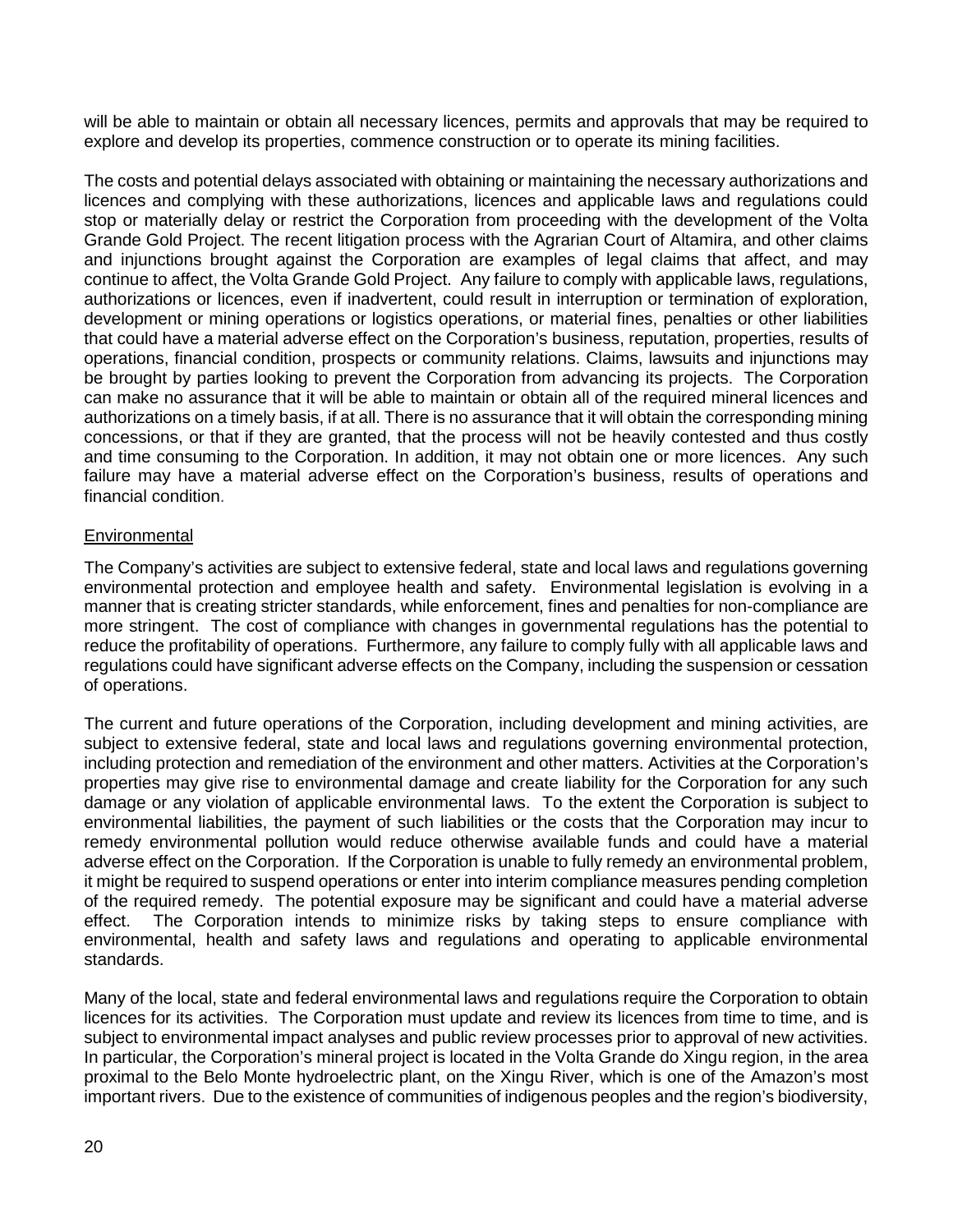will be able to maintain or obtain all necessary licences, permits and approvals that may be required to explore and develop its properties, commence construction or to operate its mining facilities.

The costs and potential delays associated with obtaining or maintaining the necessary authorizations and licences and complying with these authorizations, licences and applicable laws and regulations could stop or materially delay or restrict the Corporation from proceeding with the development of the Volta Grande Gold Project. The recent litigation process with the Agrarian Court of Altamira, and other claims and injunctions brought against the Corporation are examples of legal claims that affect, and may continue to affect, the Volta Grande Gold Project. Any failure to comply with applicable laws, regulations, authorizations or licences, even if inadvertent, could result in interruption or termination of exploration, development or mining operations or logistics operations, or material fines, penalties or other liabilities that could have a material adverse effect on the Corporation's business, reputation, properties, results of operations, financial condition, prospects or community relations. Claims, lawsuits and injunctions may be brought by parties looking to prevent the Corporation from advancing its projects. The Corporation can make no assurance that it will be able to maintain or obtain all of the required mineral licences and authorizations on a timely basis, if at all. There is no assurance that it will obtain the corresponding mining concessions, or that if they are granted, that the process will not be heavily contested and thus costly and time consuming to the Corporation. In addition, it may not obtain one or more licences. Any such failure may have a material adverse effect on the Corporation's business, results of operations and financial condition.

#### **Environmental**

The Company's activities are subject to extensive federal, state and local laws and regulations governing environmental protection and employee health and safety. Environmental legislation is evolving in a manner that is creating stricter standards, while enforcement, fines and penalties for non-compliance are more stringent. The cost of compliance with changes in governmental regulations has the potential to reduce the profitability of operations. Furthermore, any failure to comply fully with all applicable laws and regulations could have significant adverse effects on the Company, including the suspension or cessation of operations.

The current and future operations of the Corporation, including development and mining activities, are subject to extensive federal, state and local laws and regulations governing environmental protection, including protection and remediation of the environment and other matters. Activities at the Corporation's properties may give rise to environmental damage and create liability for the Corporation for any such damage or any violation of applicable environmental laws. To the extent the Corporation is subject to environmental liabilities, the payment of such liabilities or the costs that the Corporation may incur to remedy environmental pollution would reduce otherwise available funds and could have a material adverse effect on the Corporation. If the Corporation is unable to fully remedy an environmental problem, it might be required to suspend operations or enter into interim compliance measures pending completion of the required remedy. The potential exposure may be significant and could have a material adverse effect. The Corporation intends to minimize risks by taking steps to ensure compliance with environmental, health and safety laws and regulations and operating to applicable environmental standards.

Many of the local, state and federal environmental laws and regulations require the Corporation to obtain licences for its activities. The Corporation must update and review its licences from time to time, and is subject to environmental impact analyses and public review processes prior to approval of new activities. In particular, the Corporation's mineral project is located in the Volta Grande do Xingu region, in the area proximal to the Belo Monte hydroelectric plant, on the Xingu River, which is one of the Amazon's most important rivers. Due to the existence of communities of indigenous peoples and the region's biodiversity,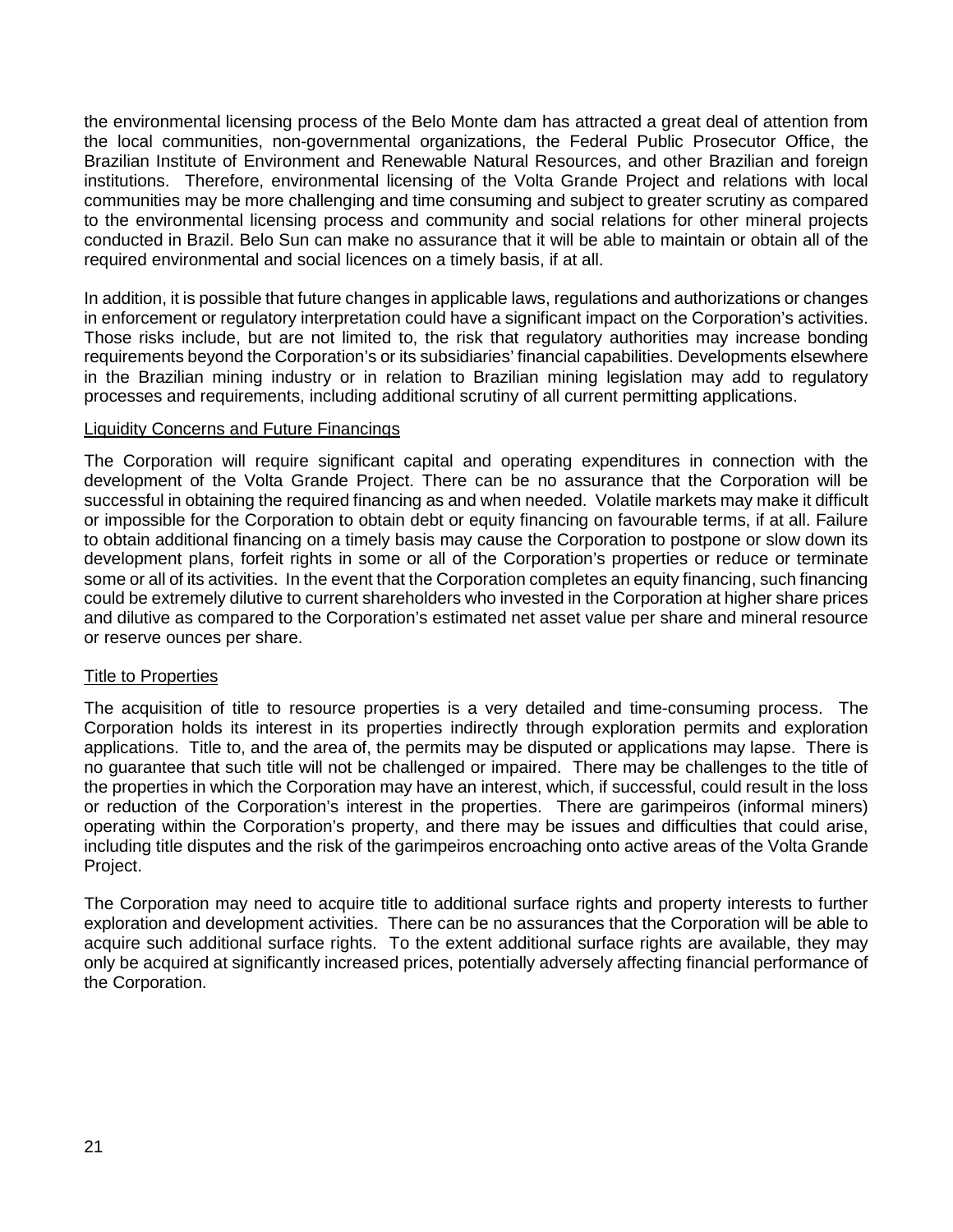the environmental licensing process of the Belo Monte dam has attracted a great deal of attention from the local communities, non-governmental organizations, the Federal Public Prosecutor Office, the Brazilian Institute of Environment and Renewable Natural Resources, and other Brazilian and foreign institutions. Therefore, environmental licensing of the Volta Grande Project and relations with local communities may be more challenging and time consuming and subject to greater scrutiny as compared to the environmental licensing process and community and social relations for other mineral projects conducted in Brazil. Belo Sun can make no assurance that it will be able to maintain or obtain all of the required environmental and social licences on a timely basis, if at all.

In addition, it is possible that future changes in applicable laws, regulations and authorizations or changes in enforcement or regulatory interpretation could have a significant impact on the Corporation's activities. Those risks include, but are not limited to, the risk that regulatory authorities may increase bonding requirements beyond the Corporation's or its subsidiaries' financial capabilities. Developments elsewhere in the Brazilian mining industry or in relation to Brazilian mining legislation may add to regulatory processes and requirements, including additional scrutiny of all current permitting applications.

#### Liquidity Concerns and Future Financings

The Corporation will require significant capital and operating expenditures in connection with the development of the Volta Grande Project. There can be no assurance that the Corporation will be successful in obtaining the required financing as and when needed. Volatile markets may make it difficult or impossible for the Corporation to obtain debt or equity financing on favourable terms, if at all. Failure to obtain additional financing on a timely basis may cause the Corporation to postpone or slow down its development plans, forfeit rights in some or all of the Corporation's properties or reduce or terminate some or all of its activities. In the event that the Corporation completes an equity financing, such financing could be extremely dilutive to current shareholders who invested in the Corporation at higher share prices and dilutive as compared to the Corporation's estimated net asset value per share and mineral resource or reserve ounces per share.

#### Title to Properties

The acquisition of title to resource properties is a very detailed and time-consuming process. The Corporation holds its interest in its properties indirectly through exploration permits and exploration applications. Title to, and the area of, the permits may be disputed or applications may lapse. There is no guarantee that such title will not be challenged or impaired. There may be challenges to the title of the properties in which the Corporation may have an interest, which, if successful, could result in the loss or reduction of the Corporation's interest in the properties. There are garimpeiros (informal miners) operating within the Corporation's property, and there may be issues and difficulties that could arise, including title disputes and the risk of the garimpeiros encroaching onto active areas of the Volta Grande Project.

The Corporation may need to acquire title to additional surface rights and property interests to further exploration and development activities. There can be no assurances that the Corporation will be able to acquire such additional surface rights. To the extent additional surface rights are available, they may only be acquired at significantly increased prices, potentially adversely affecting financial performance of the Corporation.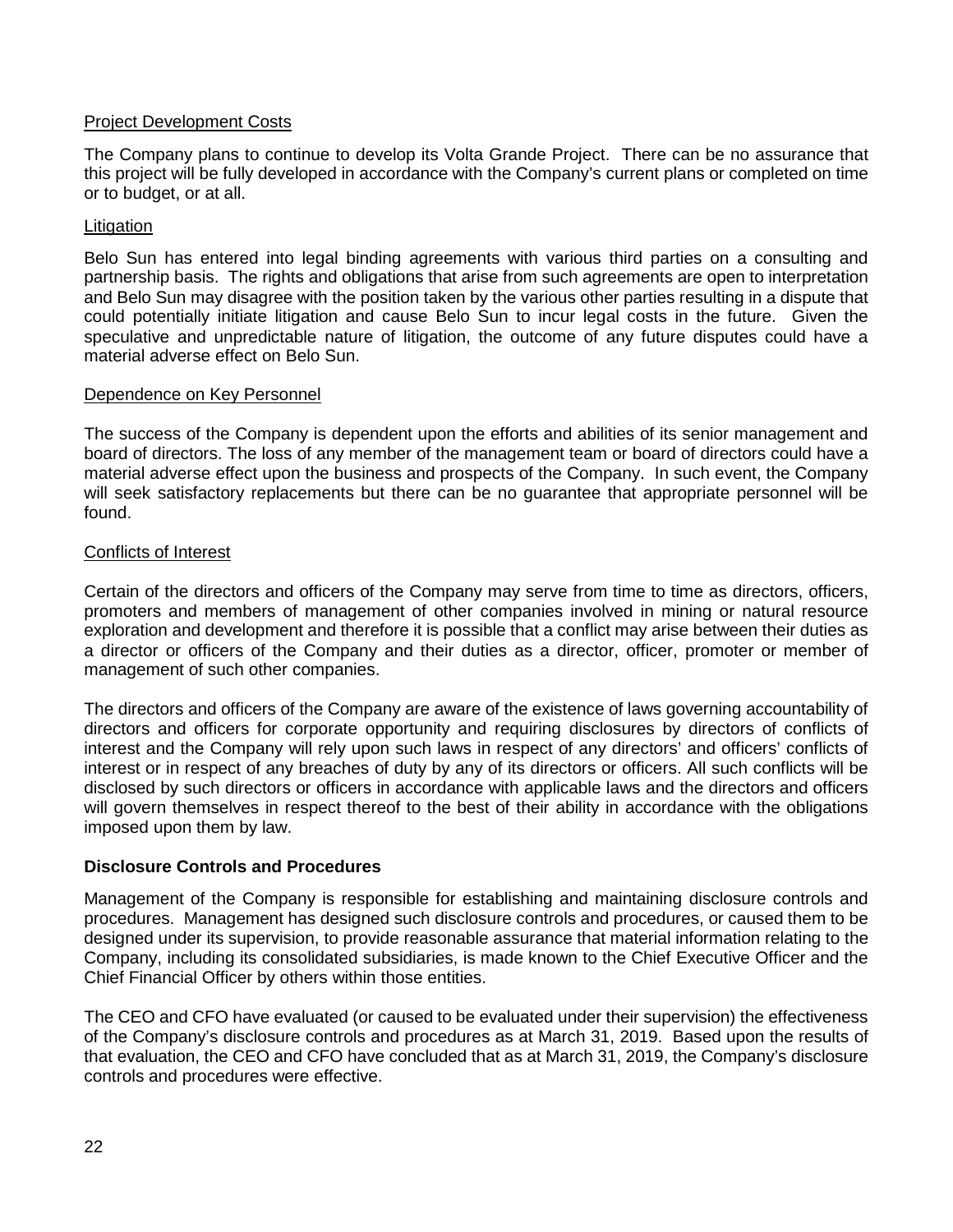#### Project Development Costs

The Company plans to continue to develop its Volta Grande Project. There can be no assurance that this project will be fully developed in accordance with the Company's current plans or completed on time or to budget, or at all.

## **Litigation**

Belo Sun has entered into legal binding agreements with various third parties on a consulting and partnership basis. The rights and obligations that arise from such agreements are open to interpretation and Belo Sun may disagree with the position taken by the various other parties resulting in a dispute that could potentially initiate litigation and cause Belo Sun to incur legal costs in the future. Given the speculative and unpredictable nature of litigation, the outcome of any future disputes could have a material adverse effect on Belo Sun.

#### Dependence on Key Personnel

The success of the Company is dependent upon the efforts and abilities of its senior management and board of directors. The loss of any member of the management team or board of directors could have a material adverse effect upon the business and prospects of the Company. In such event, the Company will seek satisfactory replacements but there can be no guarantee that appropriate personnel will be found.

#### Conflicts of Interest

Certain of the directors and officers of the Company may serve from time to time as directors, officers, promoters and members of management of other companies involved in mining or natural resource exploration and development and therefore it is possible that a conflict may arise between their duties as a director or officers of the Company and their duties as a director, officer, promoter or member of management of such other companies.

The directors and officers of the Company are aware of the existence of laws governing accountability of directors and officers for corporate opportunity and requiring disclosures by directors of conflicts of interest and the Company will rely upon such laws in respect of any directors' and officers' conflicts of interest or in respect of any breaches of duty by any of its directors or officers. All such conflicts will be disclosed by such directors or officers in accordance with applicable laws and the directors and officers will govern themselves in respect thereof to the best of their ability in accordance with the obligations imposed upon them by law.

#### **Disclosure Controls and Procedures**

Management of the Company is responsible for establishing and maintaining disclosure controls and procedures. Management has designed such disclosure controls and procedures, or caused them to be designed under its supervision, to provide reasonable assurance that material information relating to the Company, including its consolidated subsidiaries, is made known to the Chief Executive Officer and the Chief Financial Officer by others within those entities.

The CEO and CFO have evaluated (or caused to be evaluated under their supervision) the effectiveness of the Company's disclosure controls and procedures as at March 31, 2019. Based upon the results of that evaluation, the CEO and CFO have concluded that as at March 31, 2019, the Company's disclosure controls and procedures were effective.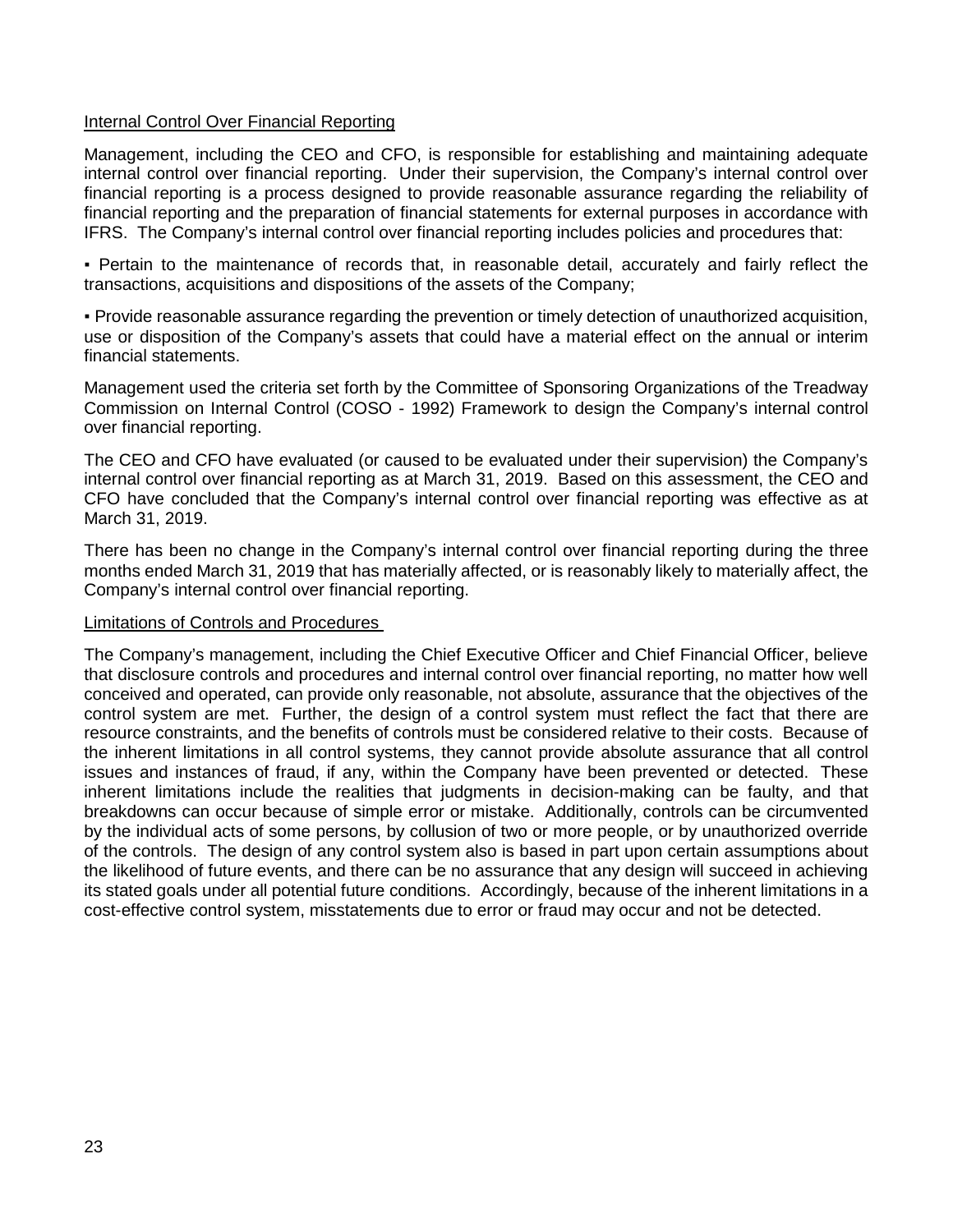#### Internal Control Over Financial Reporting

Management, including the CEO and CFO, is responsible for establishing and maintaining adequate internal control over financial reporting. Under their supervision, the Company's internal control over financial reporting is a process designed to provide reasonable assurance regarding the reliability of financial reporting and the preparation of financial statements for external purposes in accordance with IFRS. The Company's internal control over financial reporting includes policies and procedures that:

▪ Pertain to the maintenance of records that, in reasonable detail, accurately and fairly reflect the transactions, acquisitions and dispositions of the assets of the Company;

▪ Provide reasonable assurance regarding the prevention or timely detection of unauthorized acquisition, use or disposition of the Company's assets that could have a material effect on the annual or interim financial statements.

Management used the criteria set forth by the Committee of Sponsoring Organizations of the Treadway Commission on Internal Control (COSO - 1992) Framework to design the Company's internal control over financial reporting.

The CEO and CFO have evaluated (or caused to be evaluated under their supervision) the Company's internal control over financial reporting as at March 31, 2019. Based on this assessment, the CEO and CFO have concluded that the Company's internal control over financial reporting was effective as at March 31, 2019.

There has been no change in the Company's internal control over financial reporting during the three months ended March 31, 2019 that has materially affected, or is reasonably likely to materially affect, the Company's internal control over financial reporting.

#### Limitations of Controls and Procedures

The Company's management, including the Chief Executive Officer and Chief Financial Officer, believe that disclosure controls and procedures and internal control over financial reporting, no matter how well conceived and operated, can provide only reasonable, not absolute, assurance that the objectives of the control system are met. Further, the design of a control system must reflect the fact that there are resource constraints, and the benefits of controls must be considered relative to their costs. Because of the inherent limitations in all control systems, they cannot provide absolute assurance that all control issues and instances of fraud, if any, within the Company have been prevented or detected. These inherent limitations include the realities that judgments in decision-making can be faulty, and that breakdowns can occur because of simple error or mistake. Additionally, controls can be circumvented by the individual acts of some persons, by collusion of two or more people, or by unauthorized override of the controls. The design of any control system also is based in part upon certain assumptions about the likelihood of future events, and there can be no assurance that any design will succeed in achieving its stated goals under all potential future conditions. Accordingly, because of the inherent limitations in a cost-effective control system, misstatements due to error or fraud may occur and not be detected.